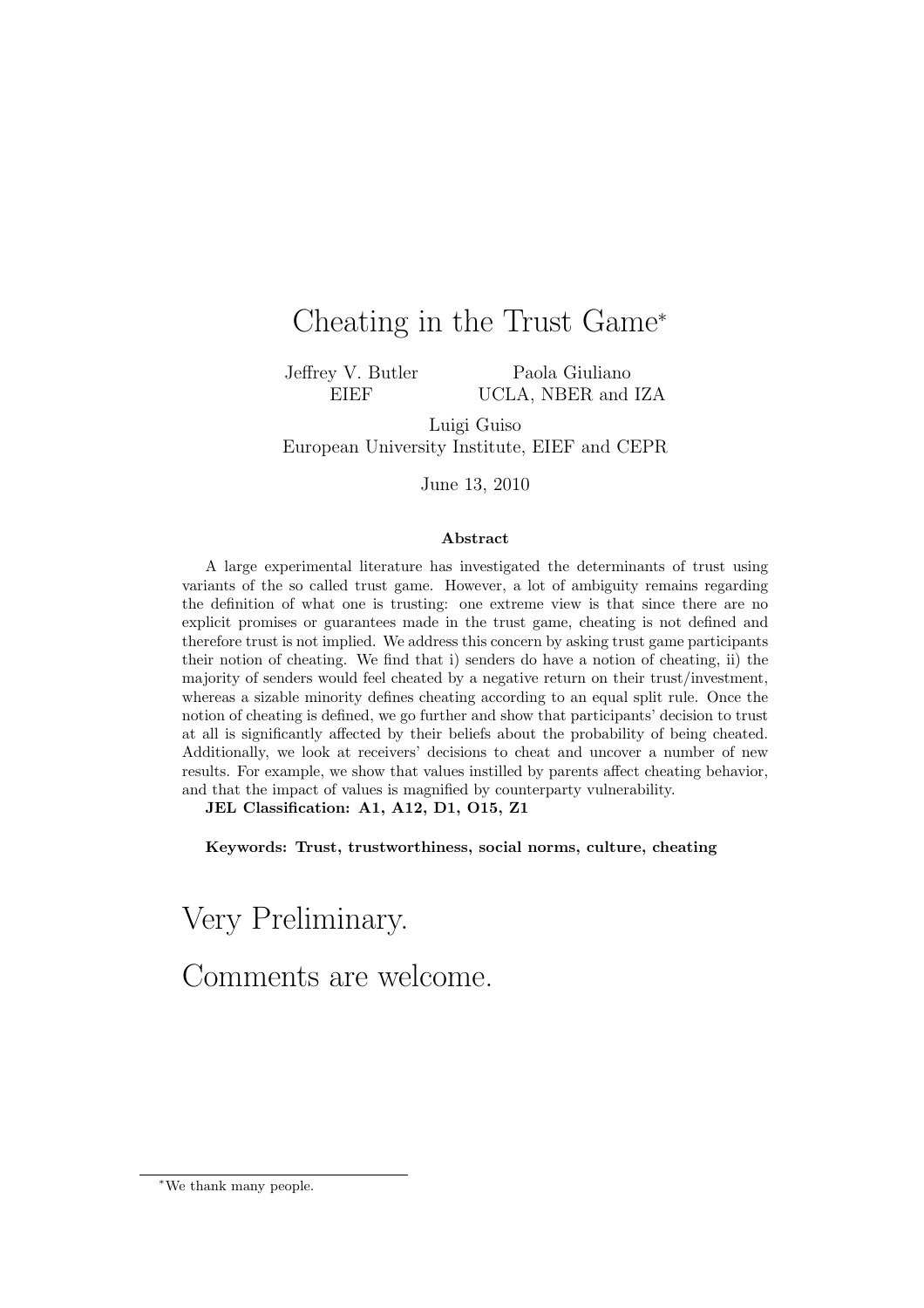# Cheating in the Trust Game<sup>∗</sup>

Jeffrey V. Butler EIEF

Paola Giuliano UCLA, NBER and IZA

Luigi Guiso European University Institute, EIEF and CEPR

June 13, 2010

#### Abstract

A large experimental literature has investigated the determinants of trust using variants of the so called trust game. However, a lot of ambiguity remains regarding the definition of what one is trusting: one extreme view is that since there are no explicit promises or guarantees made in the trust game, cheating is not defined and therefore trust is not implied. We address this concern by asking trust game participants their notion of cheating. We find that i) senders do have a notion of cheating, ii) the majority of senders would feel cheated by a negative return on their trust/investment, whereas a sizable minority defines cheating according to an equal split rule. Once the notion of cheating is defined, we go further and show that participants' decision to trust at all is significantly affected by their beliefs about the probability of being cheated. Additionally, we look at receivers' decisions to cheat and uncover a number of new results. For example, we show that values instilled by parents affect cheating behavior, and that the impact of values is magnified by counterparty vulnerability.

JEL Classification: A1, A12, D1, O15, Z1

Keywords: Trust, trustworthiness, social norms, culture, cheating

Very Preliminary. Comments are welcome.

<sup>∗</sup>We thank many people.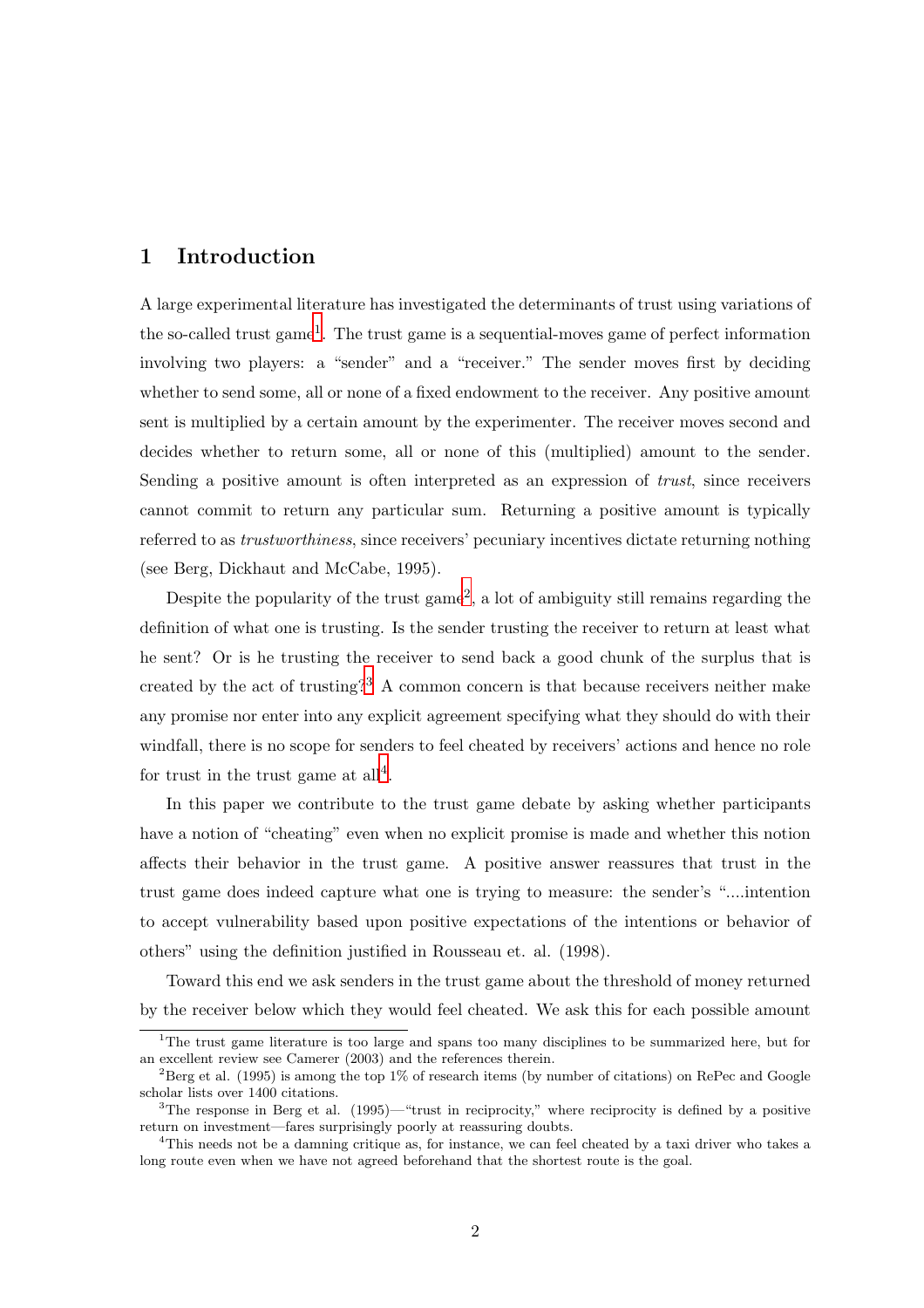### 1 Introduction

A large experimental literature has investigated the determinants of trust using variations of the so-called trust game<sup>1</sup>. The trust game is a sequential-moves game of perfect information involving two players: a "sender" and a "receiver." The sender moves first by deciding whether to send some, all or none of a fixed endowment to the receiver. Any positive amount sent is multiplied by a certain amount by the experimenter. The receiver moves second and decides whether to return some, all or none of this (multiplied) amount to the sender. Sending a positive amount is often interpreted as an expression of *trust*, since receivers cannot commit to return any particular sum. Returning a positive amount is typically referred to as trustworthiness, since receivers' pecuniary incentives dictate returning nothing (see Berg, Dickhaut and McCabe, 1995).

Despite the popularity of the trust game<sup>2</sup>, a lot of ambiguity still remains regarding the definition of what one is trusting. Is the sender trusting the receiver to return at least what he sent? Or is he trusting the receiver to send back a good chunk of the surplus that is created by the act of trusting?<sup>3</sup> A common concern is that because receivers neither make any promise nor enter into any explicit agreement specifying what they should do with their windfall, there is no scope for senders to feel cheated by receivers' actions and hence no role for trust in the trust game at  $all<sup>4</sup>$ .

In this paper we contribute to the trust game debate by asking whether participants have a notion of "cheating" even when no explicit promise is made and whether this notion affects their behavior in the trust game. A positive answer reassures that trust in the trust game does indeed capture what one is trying to measure: the sender's "....intention to accept vulnerability based upon positive expectations of the intentions or behavior of others" using the definition justified in Rousseau et. al. (1998).

Toward this end we ask senders in the trust game about the threshold of money returned by the receiver below which they would feel cheated. We ask this for each possible amount

<sup>&</sup>lt;sup>1</sup>The trust game literature is too large and spans too many disciplines to be summarized here, but for an excellent review see Camerer (2003) and the references therein.

<sup>&</sup>lt;sup>2</sup>Berg et al. (1995) is among the top 1% of research items (by number of citations) on RePec and Google scholar lists over 1400 citations.

<sup>&</sup>lt;sup>3</sup>The response in Berg et al.  $(1995)$ —"trust in reciprocity," where reciprocity is defined by a positive return on investment—fares surprisingly poorly at reassuring doubts.

<sup>&</sup>lt;sup>4</sup>This needs not be a damning critique as, for instance, we can feel cheated by a taxi driver who takes a long route even when we have not agreed beforehand that the shortest route is the goal.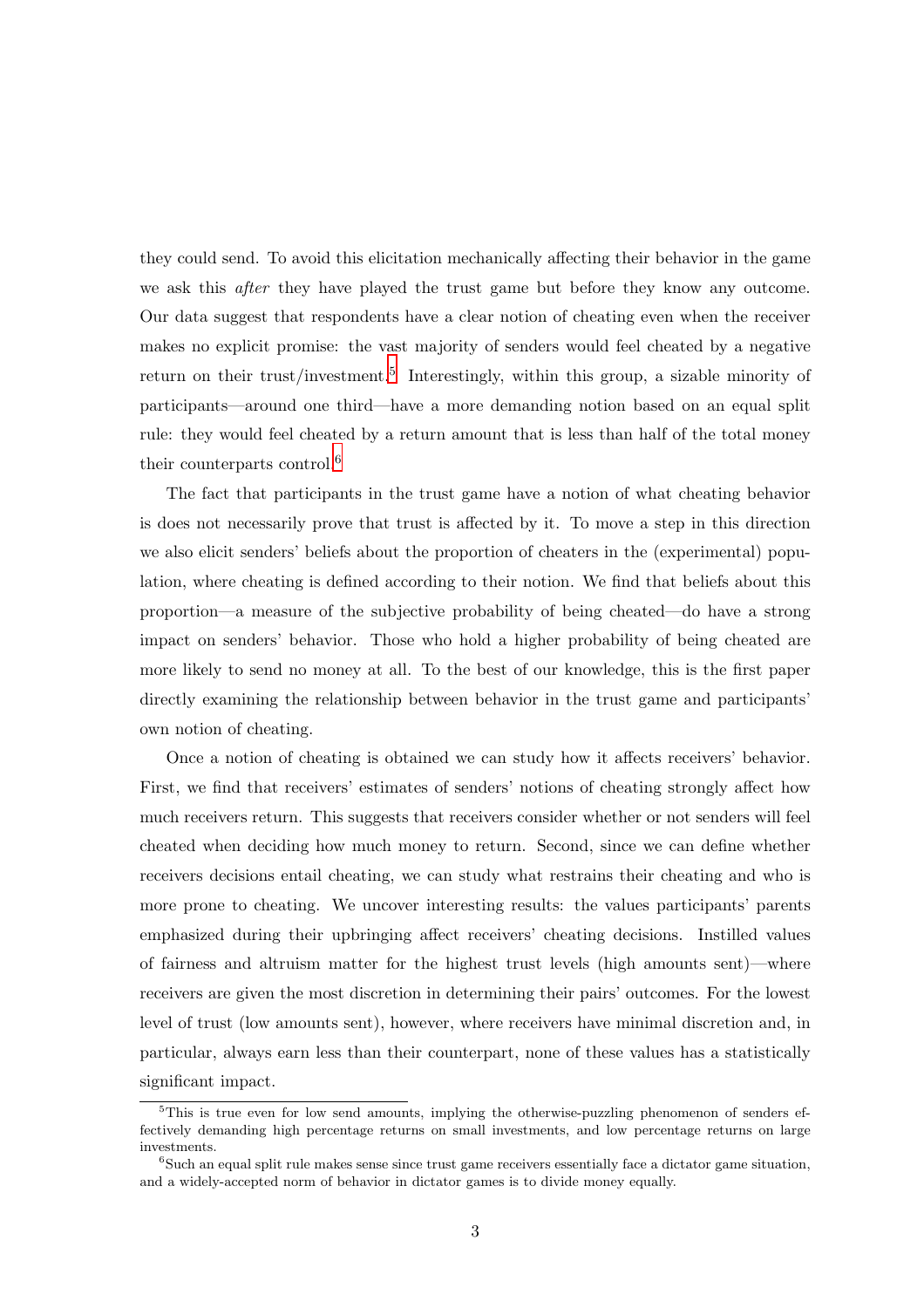they could send. To avoid this elicitation mechanically affecting their behavior in the game we ask this after they have played the trust game but before they know any outcome. Our data suggest that respondents have a clear notion of cheating even when the receiver makes no explicit promise: the vast majority of senders would feel cheated by a negative return on their trust/investment.<sup>5</sup> Interestingly, within this group, a sizable minority of participants—around one third—have a more demanding notion based on an equal split rule: they would feel cheated by a return amount that is less than half of the total money their counterparts control.<sup>6</sup>

The fact that participants in the trust game have a notion of what cheating behavior is does not necessarily prove that trust is affected by it. To move a step in this direction we also elicit senders' beliefs about the proportion of cheaters in the (experimental) population, where cheating is defined according to their notion. We find that beliefs about this proportion—a measure of the subjective probability of being cheated—do have a strong impact on senders' behavior. Those who hold a higher probability of being cheated are more likely to send no money at all. To the best of our knowledge, this is the first paper directly examining the relationship between behavior in the trust game and participants' own notion of cheating.

Once a notion of cheating is obtained we can study how it affects receivers' behavior. First, we find that receivers' estimates of senders' notions of cheating strongly affect how much receivers return. This suggests that receivers consider whether or not senders will feel cheated when deciding how much money to return. Second, since we can define whether receivers decisions entail cheating, we can study what restrains their cheating and who is more prone to cheating. We uncover interesting results: the values participants' parents emphasized during their upbringing affect receivers' cheating decisions. Instilled values of fairness and altruism matter for the highest trust levels (high amounts sent)—where receivers are given the most discretion in determining their pairs' outcomes. For the lowest level of trust (low amounts sent), however, where receivers have minimal discretion and, in particular, always earn less than their counterpart, none of these values has a statistically significant impact.

<sup>&</sup>lt;sup>5</sup>This is true even for low send amounts, implying the otherwise-puzzling phenomenon of senders effectively demanding high percentage returns on small investments, and low percentage returns on large investments.

<sup>&</sup>lt;sup>6</sup>Such an equal split rule makes sense since trust game receivers essentially face a dictator game situation, and a widely-accepted norm of behavior in dictator games is to divide money equally.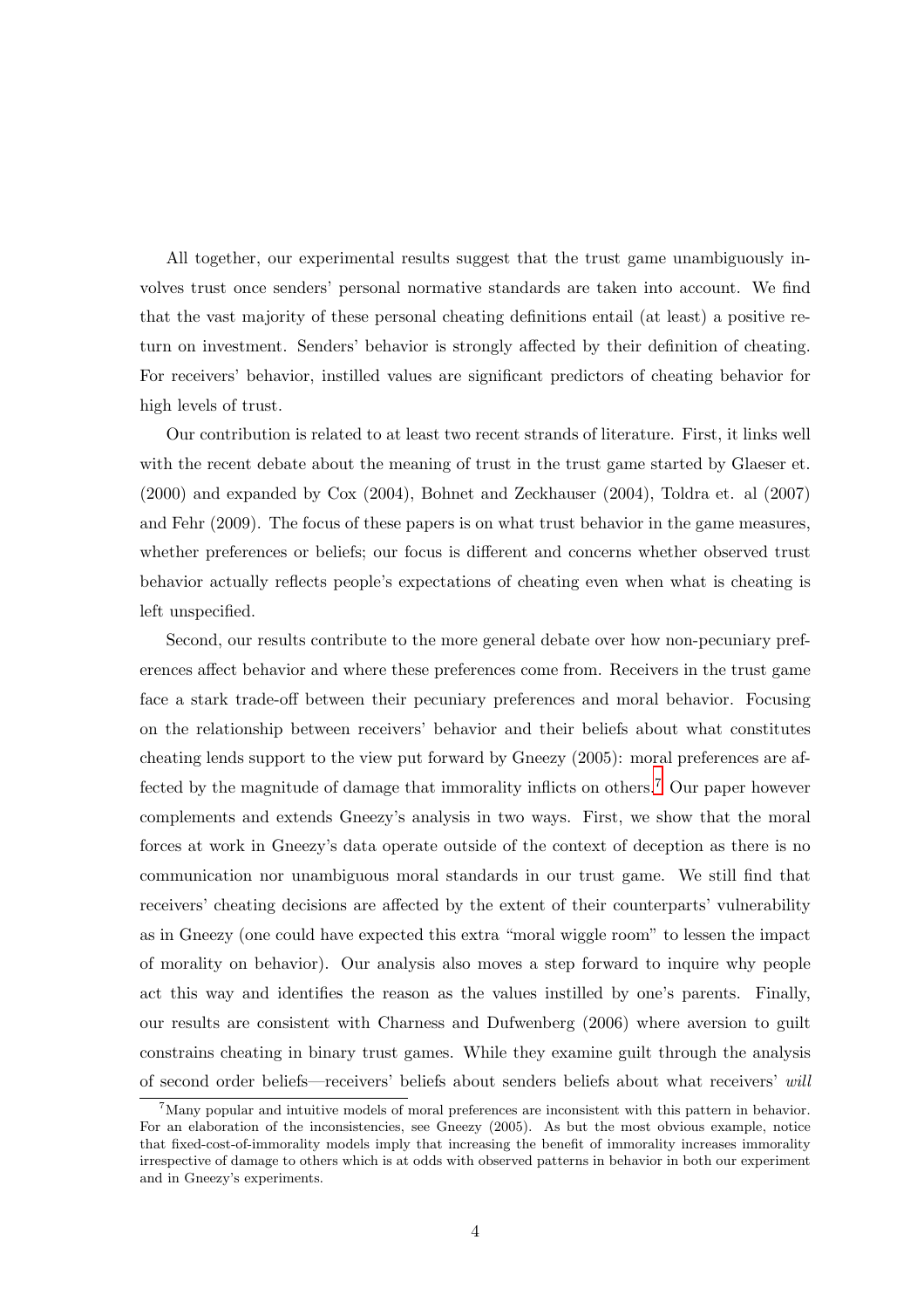All together, our experimental results suggest that the trust game unambiguously involves trust once senders' personal normative standards are taken into account. We find that the vast majority of these personal cheating definitions entail (at least) a positive return on investment. Senders' behavior is strongly affected by their definition of cheating. For receivers' behavior, instilled values are significant predictors of cheating behavior for high levels of trust.

Our contribution is related to at least two recent strands of literature. First, it links well with the recent debate about the meaning of trust in the trust game started by Glaeser et. (2000) and expanded by Cox (2004), Bohnet and Zeckhauser (2004), Toldra et. al (2007) and Fehr (2009). The focus of these papers is on what trust behavior in the game measures, whether preferences or beliefs; our focus is different and concerns whether observed trust behavior actually reflects people's expectations of cheating even when what is cheating is left unspecified.

Second, our results contribute to the more general debate over how non-pecuniary preferences affect behavior and where these preferences come from. Receivers in the trust game face a stark trade-off between their pecuniary preferences and moral behavior. Focusing on the relationship between receivers' behavior and their beliefs about what constitutes cheating lends support to the view put forward by Gneezy (2005): moral preferences are affected by the magnitude of damage that immorality inflicts on others.<sup>7</sup> Our paper however complements and extends Gneezy's analysis in two ways. First, we show that the moral forces at work in Gneezy's data operate outside of the context of deception as there is no communication nor unambiguous moral standards in our trust game. We still find that receivers' cheating decisions are affected by the extent of their counterparts' vulnerability as in Gneezy (one could have expected this extra "moral wiggle room" to lessen the impact of morality on behavior). Our analysis also moves a step forward to inquire why people act this way and identifies the reason as the values instilled by one's parents. Finally, our results are consistent with Charness and Dufwenberg (2006) where aversion to guilt constrains cheating in binary trust games. While they examine guilt through the analysis of second order beliefs—receivers' beliefs about senders beliefs about what receivers' will

<sup>7</sup>Many popular and intuitive models of moral preferences are inconsistent with this pattern in behavior. For an elaboration of the inconsistencies, see Gneezy (2005). As but the most obvious example, notice that fixed-cost-of-immorality models imply that increasing the benefit of immorality increases immorality irrespective of damage to others which is at odds with observed patterns in behavior in both our experiment and in Gneezy's experiments.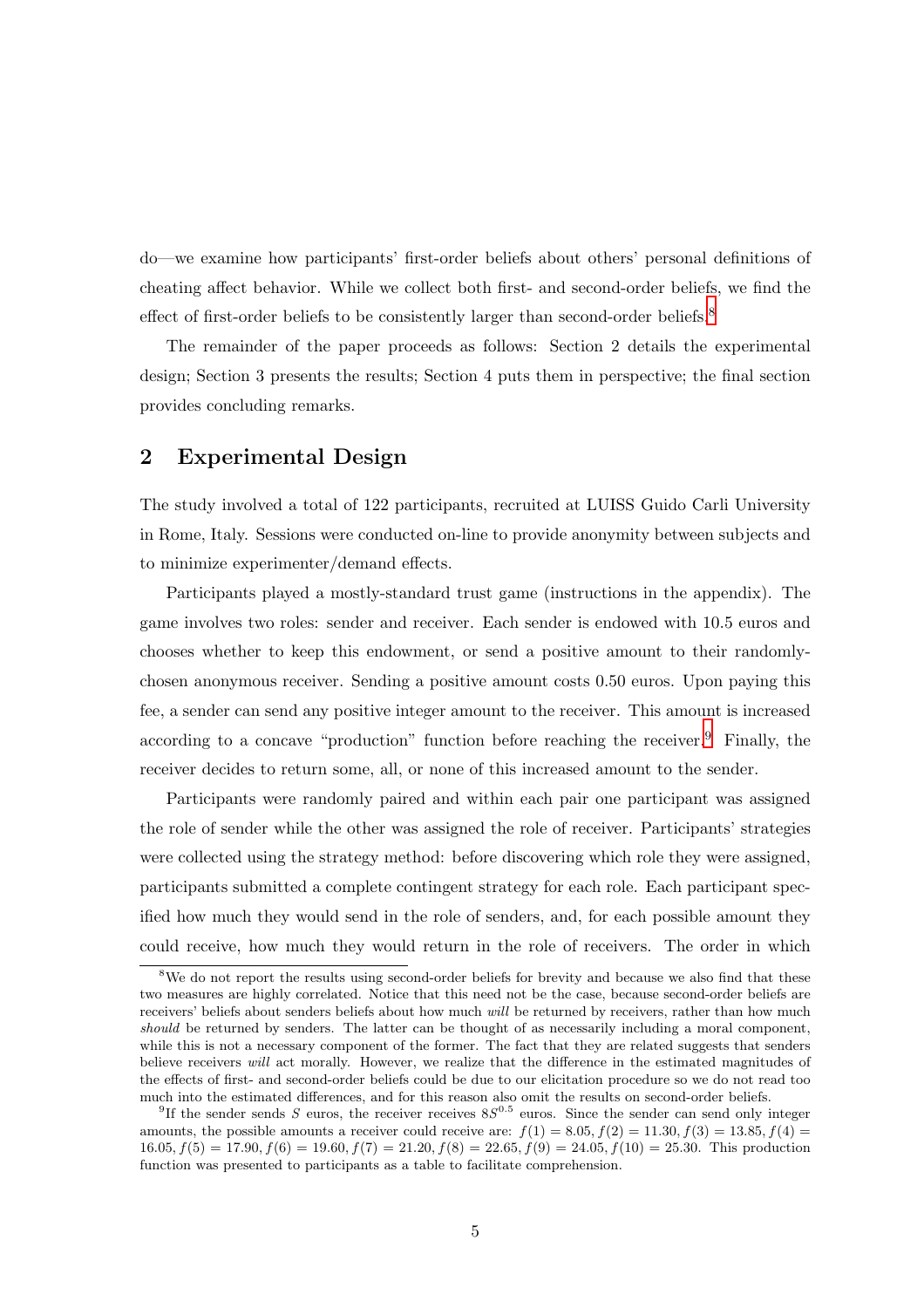do—we examine how participants' first-order beliefs about others' personal definitions of cheating affect behavior. While we collect both first- and second-order beliefs, we find the effect of first-order beliefs to be consistently larger than second-order beliefs.<sup>8</sup>

The remainder of the paper proceeds as follows: Section 2 details the experimental design; Section 3 presents the results; Section 4 puts them in perspective; the final section provides concluding remarks.

### 2 Experimental Design

The study involved a total of 122 participants, recruited at LUISS Guido Carli University in Rome, Italy. Sessions were conducted on-line to provide anonymity between subjects and to minimize experimenter/demand effects.

Participants played a mostly-standard trust game (instructions in the appendix). The game involves two roles: sender and receiver. Each sender is endowed with 10.5 euros and chooses whether to keep this endowment, or send a positive amount to their randomlychosen anonymous receiver. Sending a positive amount costs 0.50 euros. Upon paying this fee, a sender can send any positive integer amount to the receiver. This amount is increased according to a concave "production" function before reaching the receiver.<sup>9</sup> Finally, the receiver decides to return some, all, or none of this increased amount to the sender.

Participants were randomly paired and within each pair one participant was assigned the role of sender while the other was assigned the role of receiver. Participants' strategies were collected using the strategy method: before discovering which role they were assigned, participants submitted a complete contingent strategy for each role. Each participant specified how much they would send in the role of senders, and, for each possible amount they could receive, how much they would return in the role of receivers. The order in which

<sup>&</sup>lt;sup>8</sup>We do not report the results using second-order beliefs for brevity and because we also find that these two measures are highly correlated. Notice that this need not be the case, because second-order beliefs are receivers' beliefs about senders beliefs about how much will be returned by receivers, rather than how much should be returned by senders. The latter can be thought of as necessarily including a moral component, while this is not a necessary component of the former. The fact that they are related suggests that senders believe receivers will act morally. However, we realize that the difference in the estimated magnitudes of the effects of first- and second-order beliefs could be due to our elicitation procedure so we do not read too much into the estimated differences, and for this reason also omit the results on second-order beliefs.

<sup>&</sup>lt;sup>9</sup>If the sender sends S euros, the receiver receives  $8S^{0.5}$  euros. Since the sender can send only integer amounts, the possible amounts a receiver could receive are:  $f(1) = 8.05, f(2) = 11.30, f(3) = 13.85, f(4) =$ 16.05,  $f(5) = 17.90$ ,  $f(6) = 19.60$ ,  $f(7) = 21.20$ ,  $f(8) = 22.65$ ,  $f(9) = 24.05$ ,  $f(10) = 25.30$ . This production function was presented to participants as a table to facilitate comprehension.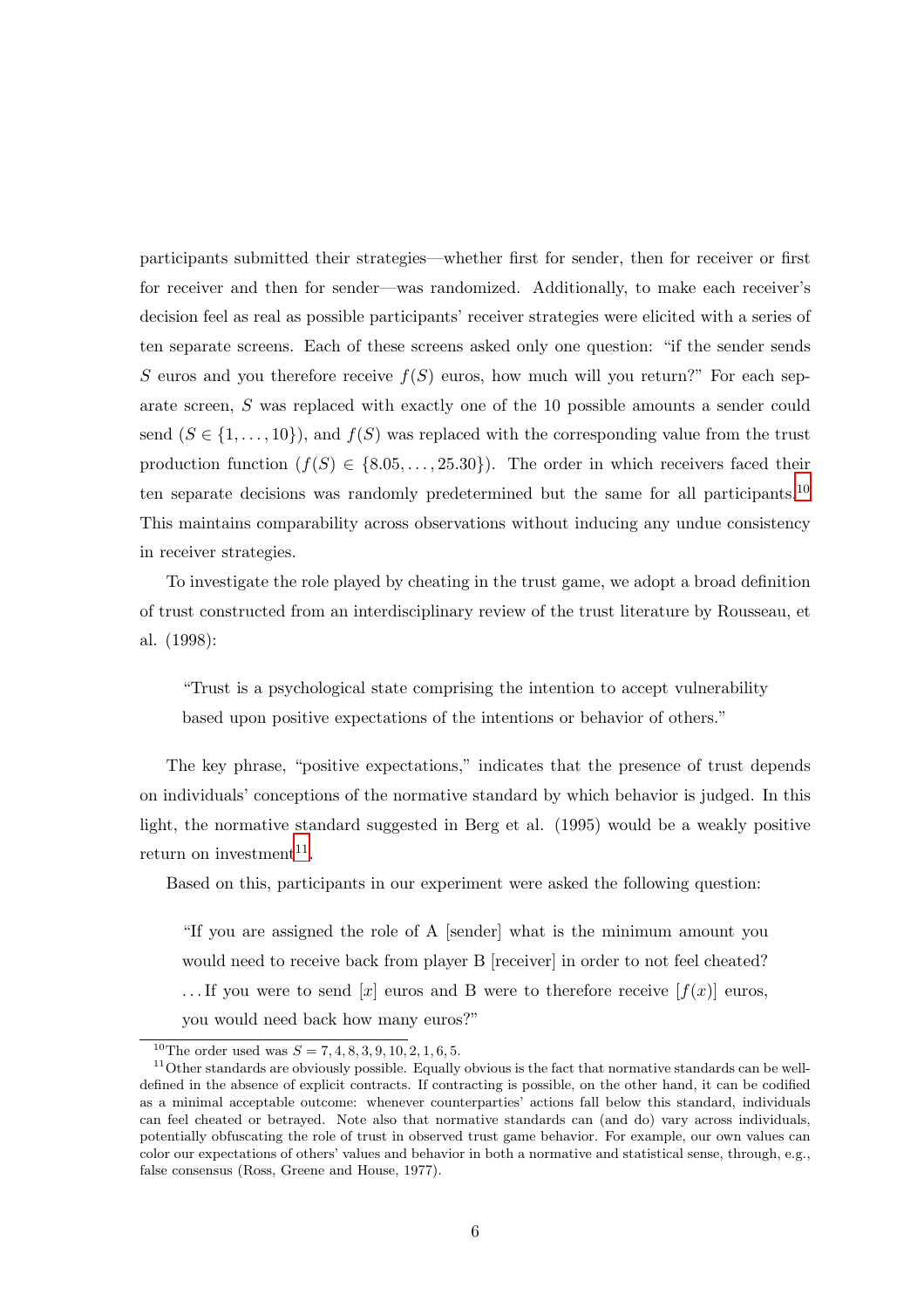participants submitted their strategies—whether first for sender, then for receiver or first for receiver and then for sender—was randomized. Additionally, to make each receiver's decision feel as real as possible participants' receiver strategies were elicited with a series of ten separate screens. Each of these screens asked only one question: "if the sender sends S euros and you therefore receive  $f(S)$  euros, how much will you return?" For each separate screen, S was replaced with exactly one of the 10 possible amounts a sender could send  $(S \in \{1, \ldots, 10\})$ , and  $f(S)$  was replaced with the corresponding value from the trust production function  $(f(S) \in \{8.05, \ldots, 25.30\})$ . The order in which receivers faced their ten separate decisions was randomly predetermined but the same for all participants.<sup>10</sup> This maintains comparability across observations without inducing any undue consistency in receiver strategies.

To investigate the role played by cheating in the trust game, we adopt a broad definition of trust constructed from an interdisciplinary review of the trust literature by Rousseau, et al. (1998):

"Trust is a psychological state comprising the intention to accept vulnerability based upon positive expectations of the intentions or behavior of others."

The key phrase, "positive expectations," indicates that the presence of trust depends on individuals' conceptions of the normative standard by which behavior is judged. In this light, the normative standard suggested in Berg et al. (1995) would be a weakly positive return on investment<sup>11</sup>.

Based on this, participants in our experiment were asked the following question:

"If you are assigned the role of A [sender] what is the minimum amount you would need to receive back from player B [receiver] in order to not feel cheated? ... If you were to send [x] euros and B were to therefore receive  $[f(x)]$  euros, you would need back how many euros?"

<sup>&</sup>lt;sup>10</sup>The order used was  $S = 7, 4, 8, 3, 9, 10, 2, 1, 6, 5.$ 

 $11$ Other standards are obviously possible. Equally obvious is the fact that normative standards can be welldefined in the absence of explicit contracts. If contracting is possible, on the other hand, it can be codified as a minimal acceptable outcome: whenever counterparties' actions fall below this standard, individuals can feel cheated or betrayed. Note also that normative standards can (and do) vary across individuals, potentially obfuscating the role of trust in observed trust game behavior. For example, our own values can color our expectations of others' values and behavior in both a normative and statistical sense, through, e.g., false consensus (Ross, Greene and House, 1977).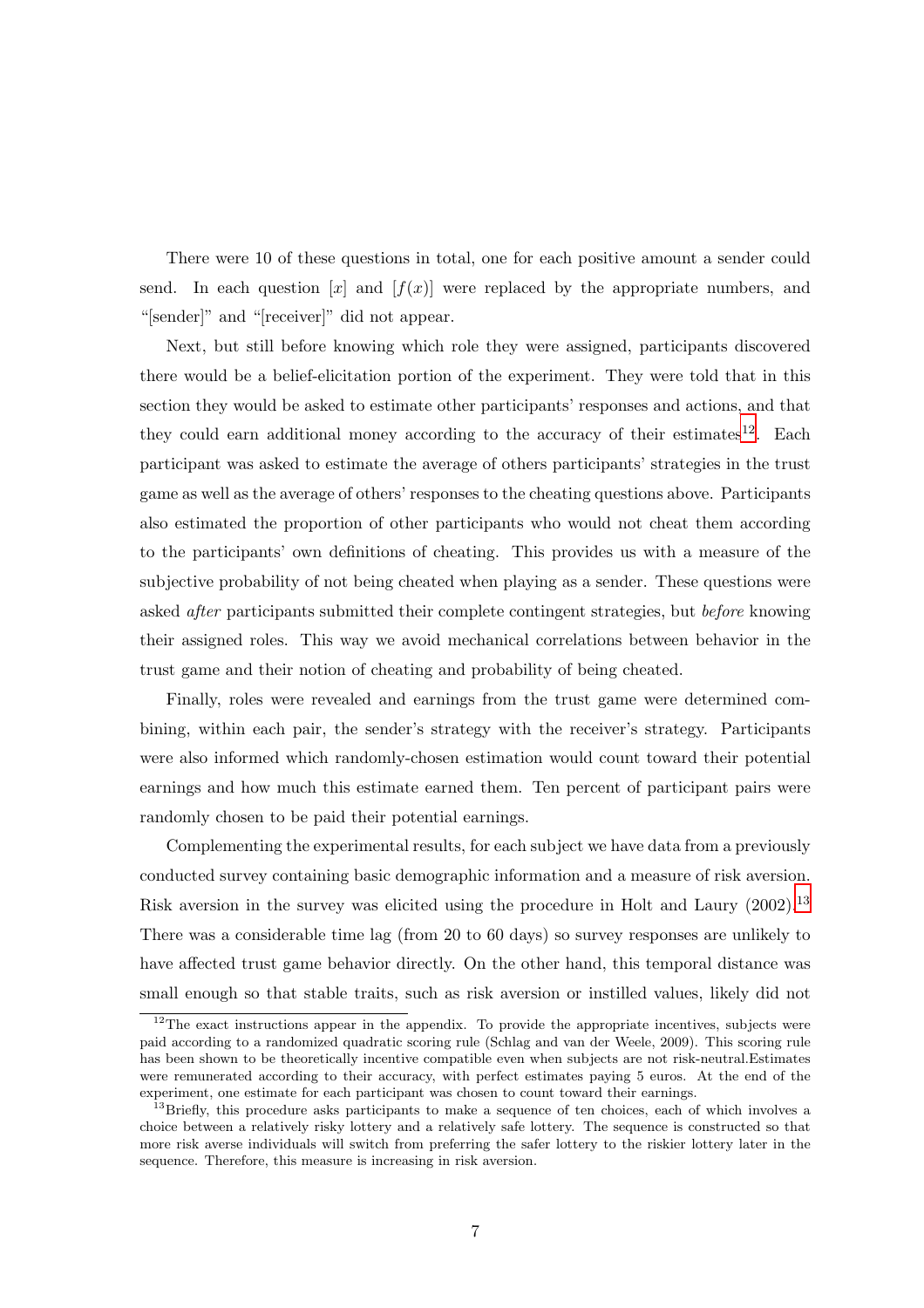There were 10 of these questions in total, one for each positive amount a sender could send. In each question  $[x]$  and  $[f(x)]$  were replaced by the appropriate numbers, and "[sender]" and "[receiver]" did not appear.

Next, but still before knowing which role they were assigned, participants discovered there would be a belief-elicitation portion of the experiment. They were told that in this section they would be asked to estimate other participants' responses and actions, and that they could earn additional money according to the accuracy of their estimates<sup>12</sup>. Each participant was asked to estimate the average of others participants' strategies in the trust game as well as the average of others' responses to the cheating questions above. Participants also estimated the proportion of other participants who would not cheat them according to the participants' own definitions of cheating. This provides us with a measure of the subjective probability of not being cheated when playing as a sender. These questions were asked after participants submitted their complete contingent strategies, but before knowing their assigned roles. This way we avoid mechanical correlations between behavior in the trust game and their notion of cheating and probability of being cheated.

Finally, roles were revealed and earnings from the trust game were determined combining, within each pair, the sender's strategy with the receiver's strategy. Participants were also informed which randomly-chosen estimation would count toward their potential earnings and how much this estimate earned them. Ten percent of participant pairs were randomly chosen to be paid their potential earnings.

Complementing the experimental results, for each subject we have data from a previously conducted survey containing basic demographic information and a measure of risk aversion. Risk aversion in the survey was elicited using the procedure in Holt and Laury (2002).<sup>13</sup> There was a considerable time lag (from 20 to 60 days) so survey responses are unlikely to have affected trust game behavior directly. On the other hand, this temporal distance was small enough so that stable traits, such as risk aversion or instilled values, likely did not

 $12$ The exact instructions appear in the appendix. To provide the appropriate incentives, subjects were paid according to a randomized quadratic scoring rule (Schlag and van der Weele, 2009). This scoring rule has been shown to be theoretically incentive compatible even when subjects are not risk-neutral.Estimates were remunerated according to their accuracy, with perfect estimates paying 5 euros. At the end of the experiment, one estimate for each participant was chosen to count toward their earnings.

<sup>&</sup>lt;sup>13</sup>Briefly, this procedure asks participants to make a sequence of ten choices, each of which involves a choice between a relatively risky lottery and a relatively safe lottery. The sequence is constructed so that more risk averse individuals will switch from preferring the safer lottery to the riskier lottery later in the sequence. Therefore, this measure is increasing in risk aversion.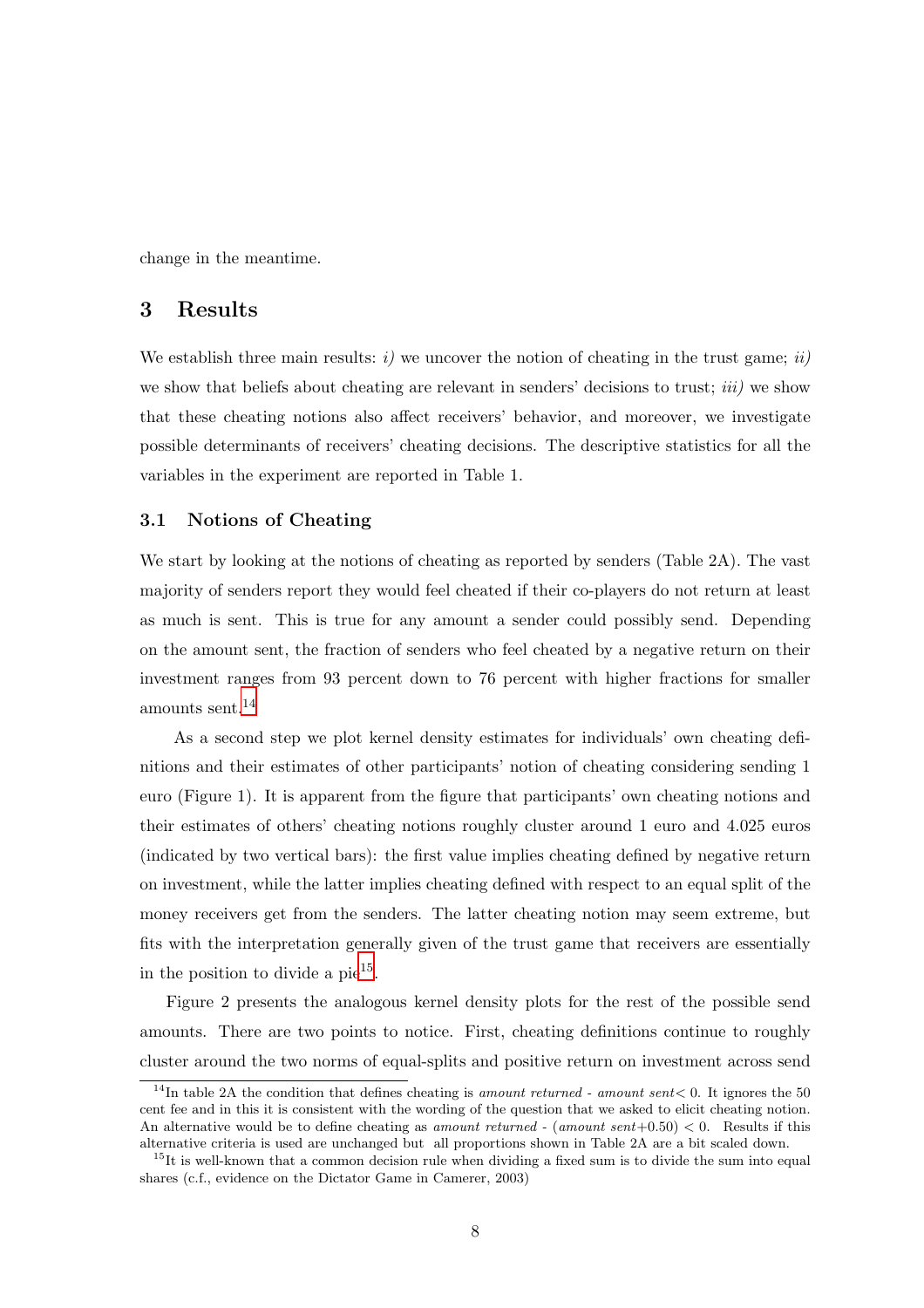change in the meantime.

#### 3 Results

We establish three main results:  $i)$  we uncover the notion of cheating in the trust game;  $ii)$ we show that beliefs about cheating are relevant in senders' decisions to trust; *iii*) we show that these cheating notions also affect receivers' behavior, and moreover, we investigate possible determinants of receivers' cheating decisions. The descriptive statistics for all the variables in the experiment are reported in Table 1.

#### 3.1 Notions of Cheating

We start by looking at the notions of cheating as reported by senders (Table 2A). The vast majority of senders report they would feel cheated if their co-players do not return at least as much is sent. This is true for any amount a sender could possibly send. Depending on the amount sent, the fraction of senders who feel cheated by a negative return on their investment ranges from 93 percent down to 76 percent with higher fractions for smaller amounts sent.<sup>14</sup>

As a second step we plot kernel density estimates for individuals' own cheating definitions and their estimates of other participants' notion of cheating considering sending 1 euro (Figure 1). It is apparent from the figure that participants' own cheating notions and their estimates of others' cheating notions roughly cluster around 1 euro and 4.025 euros (indicated by two vertical bars): the first value implies cheating defined by negative return on investment, while the latter implies cheating defined with respect to an equal split of the money receivers get from the senders. The latter cheating notion may seem extreme, but fits with the interpretation generally given of the trust game that receivers are essentially in the position to divide a  $pi^{15}$ .

Figure 2 presents the analogous kernel density plots for the rest of the possible send amounts. There are two points to notice. First, cheating definitions continue to roughly cluster around the two norms of equal-splits and positive return on investment across send

<sup>&</sup>lt;sup>14</sup>In table 2A the condition that defines cheating is amount returned - amount sent  $< 0$ . It ignores the 50 cent fee and in this it is consistent with the wording of the question that we asked to elicit cheating notion. An alternative would be to define cheating as amount returned - (amount sent+0.50)  $< 0$ . Results if this alternative criteria is used are unchanged but all proportions shown in Table 2A are a bit scaled down.

 $15$ It is well-known that a common decision rule when dividing a fixed sum is to divide the sum into equal shares (c.f., evidence on the Dictator Game in Camerer, 2003)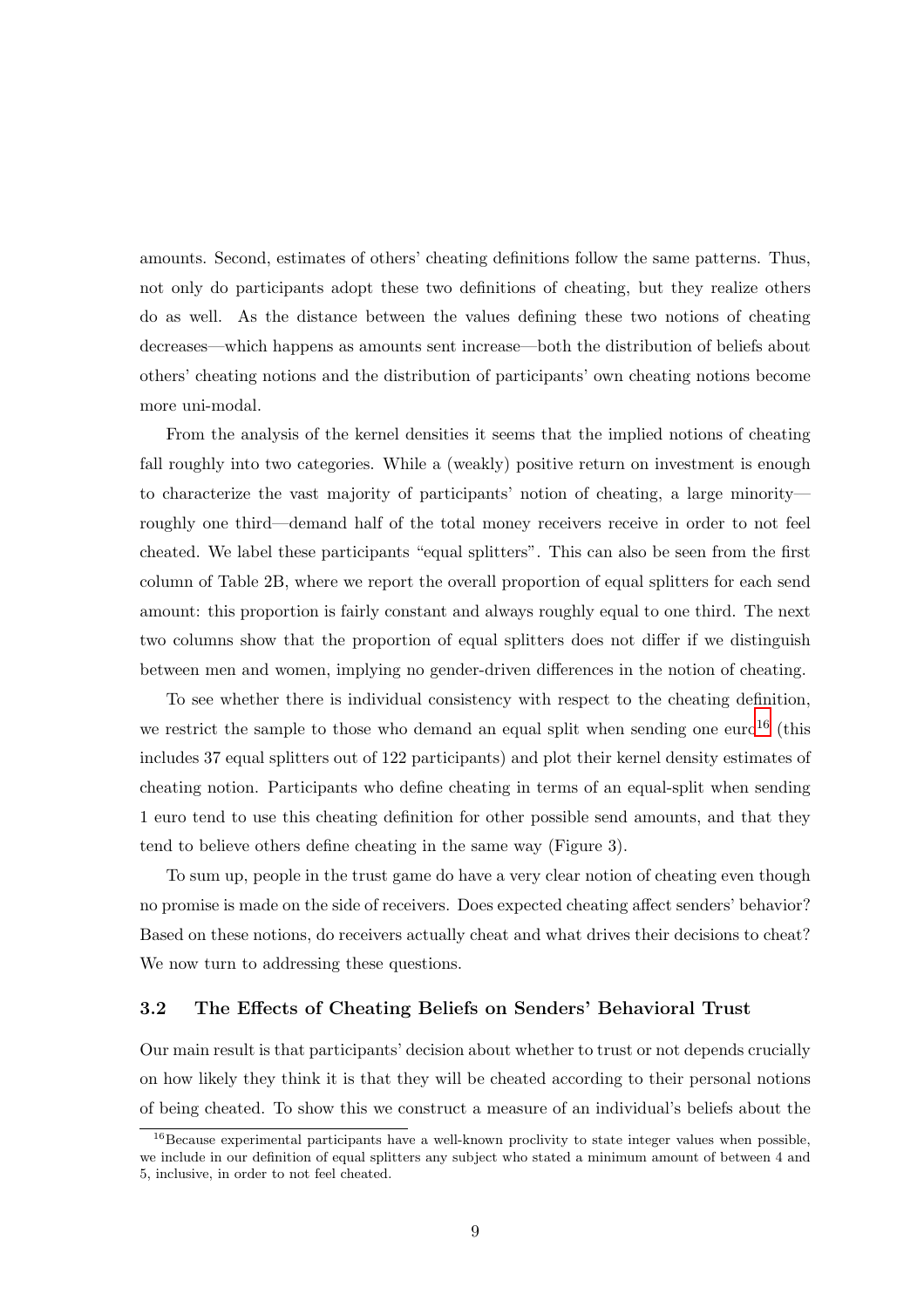amounts. Second, estimates of others' cheating definitions follow the same patterns. Thus, not only do participants adopt these two definitions of cheating, but they realize others do as well. As the distance between the values defining these two notions of cheating decreases—which happens as amounts sent increase—both the distribution of beliefs about others' cheating notions and the distribution of participants' own cheating notions become more uni-modal.

From the analysis of the kernel densities it seems that the implied notions of cheating fall roughly into two categories. While a (weakly) positive return on investment is enough to characterize the vast majority of participants' notion of cheating, a large minority roughly one third—demand half of the total money receivers receive in order to not feel cheated. We label these participants "equal splitters". This can also be seen from the first column of Table 2B, where we report the overall proportion of equal splitters for each send amount: this proportion is fairly constant and always roughly equal to one third. The next two columns show that the proportion of equal splitters does not differ if we distinguish between men and women, implying no gender-driven differences in the notion of cheating.

To see whether there is individual consistency with respect to the cheating definition, we restrict the sample to those who demand an equal split when sending one euro<sup>16</sup> (this includes 37 equal splitters out of 122 participants) and plot their kernel density estimates of cheating notion. Participants who define cheating in terms of an equal-split when sending 1 euro tend to use this cheating definition for other possible send amounts, and that they tend to believe others define cheating in the same way (Figure 3).

To sum up, people in the trust game do have a very clear notion of cheating even though no promise is made on the side of receivers. Does expected cheating affect senders' behavior? Based on these notions, do receivers actually cheat and what drives their decisions to cheat? We now turn to addressing these questions.

#### 3.2 The Effects of Cheating Beliefs on Senders' Behavioral Trust

Our main result is that participants' decision about whether to trust or not depends crucially on how likely they think it is that they will be cheated according to their personal notions of being cheated. To show this we construct a measure of an individual's beliefs about the

<sup>&</sup>lt;sup>16</sup>Because experimental participants have a well-known proclivity to state integer values when possible, we include in our definition of equal splitters any subject who stated a minimum amount of between 4 and 5, inclusive, in order to not feel cheated.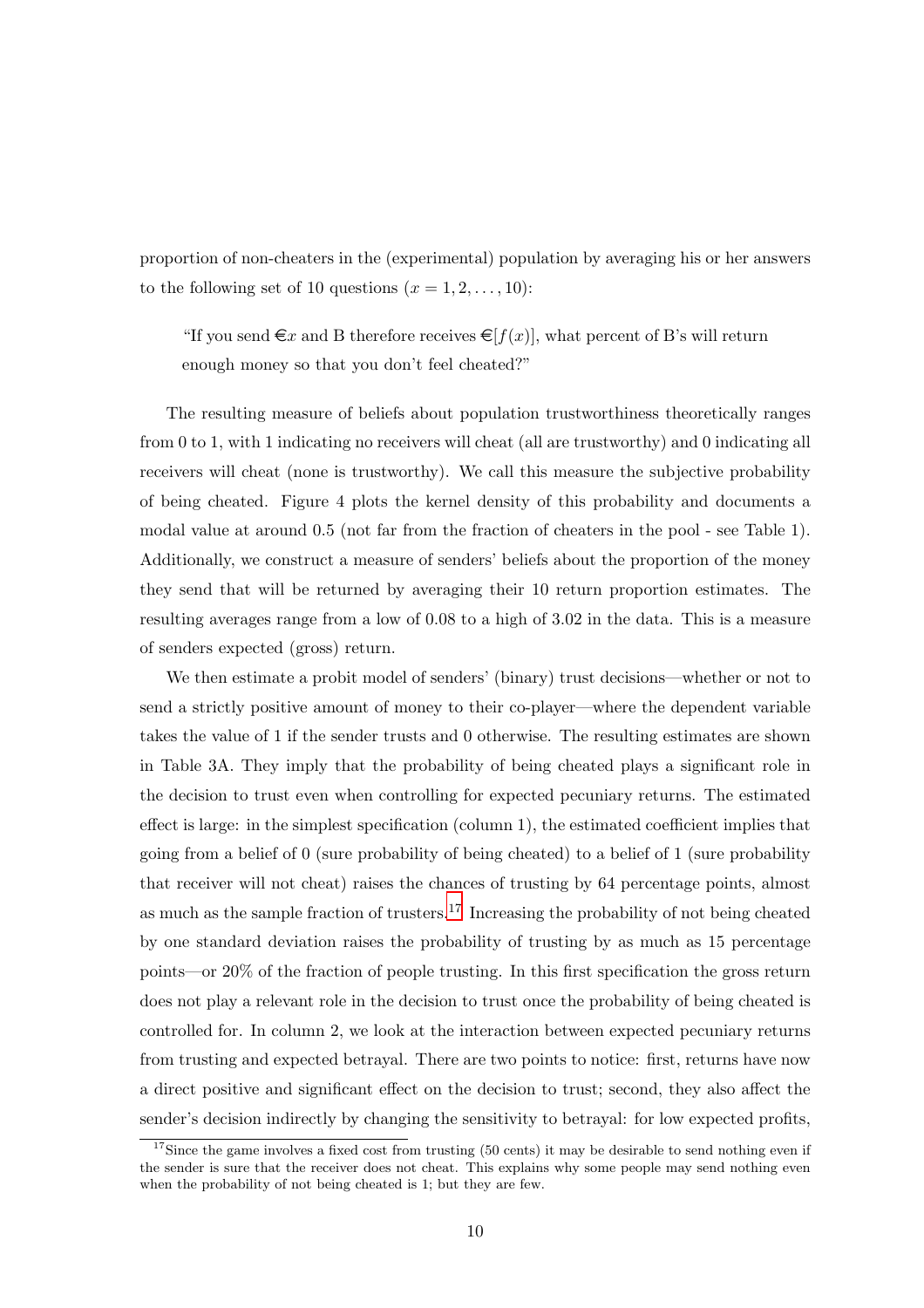proportion of non-cheaters in the (experimental) population by averaging his or her answers to the following set of 10 questions  $(x = 1, 2, \ldots, 10)$ :

"If you send  $\in \mathcal{X}$  and B therefore receives  $\in [f(x)]$ , what percent of B's will return enough money so that you don't feel cheated?"

The resulting measure of beliefs about population trustworthiness theoretically ranges from 0 to 1, with 1 indicating no receivers will cheat (all are trustworthy) and 0 indicating all receivers will cheat (none is trustworthy). We call this measure the subjective probability of being cheated. Figure 4 plots the kernel density of this probability and documents a modal value at around 0.5 (not far from the fraction of cheaters in the pool - see Table 1). Additionally, we construct a measure of senders' beliefs about the proportion of the money they send that will be returned by averaging their 10 return proportion estimates. The resulting averages range from a low of 0.08 to a high of 3.02 in the data. This is a measure of senders expected (gross) return.

We then estimate a probit model of senders' (binary) trust decisions—whether or not to send a strictly positive amount of money to their co-player—where the dependent variable takes the value of 1 if the sender trusts and 0 otherwise. The resulting estimates are shown in Table 3A. They imply that the probability of being cheated plays a significant role in the decision to trust even when controlling for expected pecuniary returns. The estimated effect is large: in the simplest specification (column 1), the estimated coefficient implies that going from a belief of 0 (sure probability of being cheated) to a belief of 1 (sure probability that receiver will not cheat) raises the chances of trusting by 64 percentage points, almost as much as the sample fraction of trusters.<sup>17</sup> Increasing the probability of not being cheated by one standard deviation raises the probability of trusting by as much as 15 percentage points—or 20% of the fraction of people trusting. In this first specification the gross return does not play a relevant role in the decision to trust once the probability of being cheated is controlled for. In column 2, we look at the interaction between expected pecuniary returns from trusting and expected betrayal. There are two points to notice: first, returns have now a direct positive and significant effect on the decision to trust; second, they also affect the sender's decision indirectly by changing the sensitivity to betrayal: for low expected profits,

<sup>&</sup>lt;sup>17</sup>Since the game involves a fixed cost from trusting (50 cents) it may be desirable to send nothing even if the sender is sure that the receiver does not cheat. This explains why some people may send nothing even when the probability of not being cheated is 1; but they are few.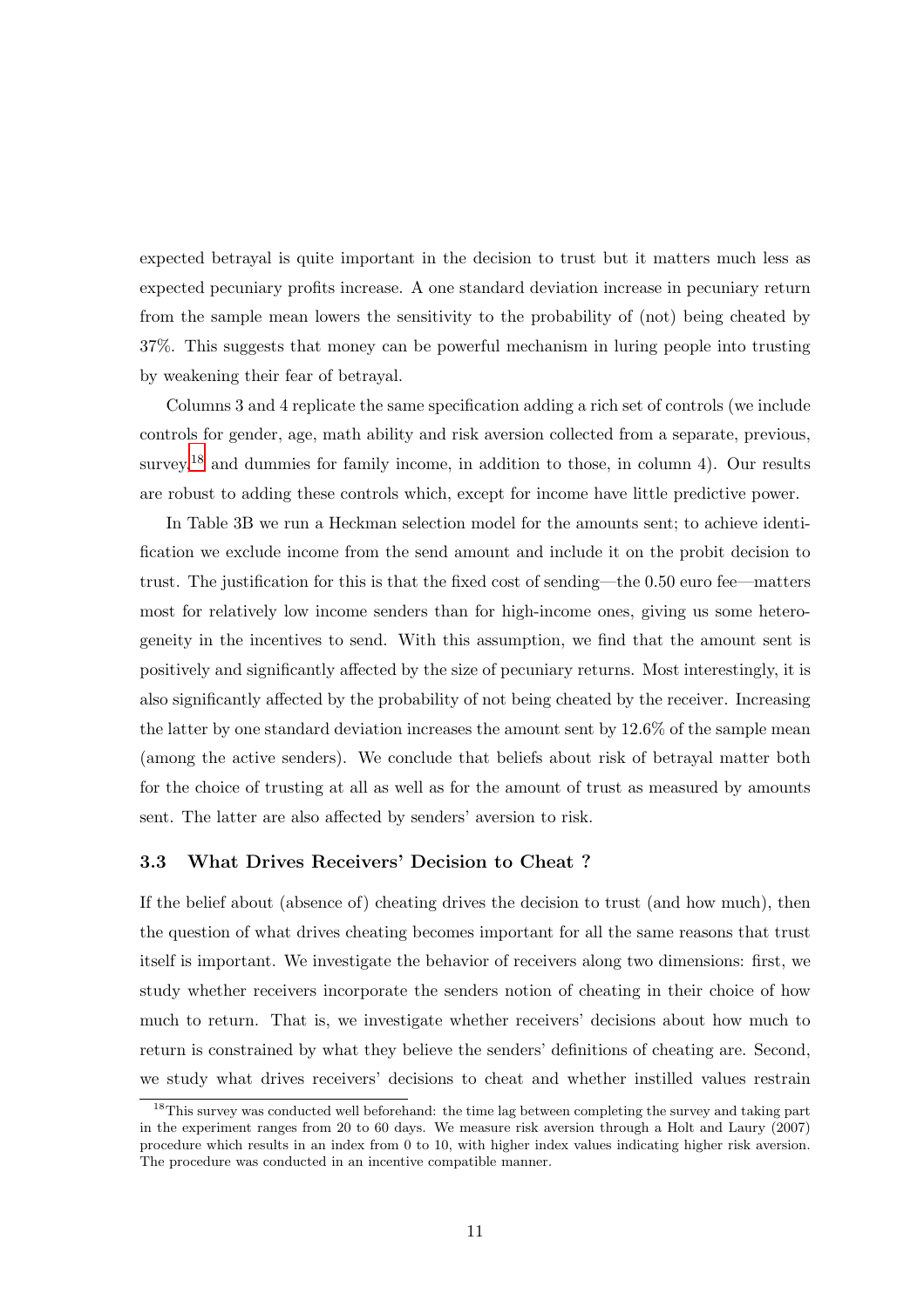expected betrayal is quite important in the decision to trust but it matters much less as expected pecuniary profits increase. A one standard deviation increase in pecuniary return from the sample mean lowers the sensitivity to the probability of (not) being cheated by 37%. This suggests that money can be powerful mechanism in luring people into trusting by weakening their fear of betrayal.

Columns 3 and 4 replicate the same specification adding a rich set of controls (we include controls for gender, age, math ability and risk aversion collected from a separate, previous, survey,<sup>18</sup> and dummies for family income, in addition to those, in column 4). Our results are robust to adding these controls which, except for income have little predictive power.

In Table 3B we run a Heckman selection model for the amounts sent; to achieve identification we exclude income from the send amount and include it on the probit decision to trust. The justification for this is that the fixed cost of sending—the 0.50 euro fee—matters most for relatively low income senders than for high-income ones, giving us some heterogeneity in the incentives to send. With this assumption, we find that the amount sent is positively and significantly affected by the size of pecuniary returns. Most interestingly, it is also significantly affected by the probability of not being cheated by the receiver. Increasing the latter by one standard deviation increases the amount sent by 12.6% of the sample mean (among the active senders). We conclude that beliefs about risk of betrayal matter both for the choice of trusting at all as well as for the amount of trust as measured by amounts sent. The latter are also affected by senders' aversion to risk.

#### 3.3 What Drives Receivers' Decision to Cheat ?

If the belief about (absence of) cheating drives the decision to trust (and how much), then the question of what drives cheating becomes important for all the same reasons that trust itself is important. We investigate the behavior of receivers along two dimensions: first, we study whether receivers incorporate the senders notion of cheating in their choice of how much to return. That is, we investigate whether receivers' decisions about how much to return is constrained by what they believe the senders' definitions of cheating are. Second, we study what drives receivers' decisions to cheat and whether instilled values restrain

<sup>&</sup>lt;sup>18</sup>This survey was conducted well beforehand: the time lag between completing the survey and taking part in the experiment ranges from 20 to 60 days. We measure risk aversion through a Holt and Laury (2007) procedure which results in an index from 0 to 10, with higher index values indicating higher risk aversion. The procedure was conducted in an incentive compatible manner.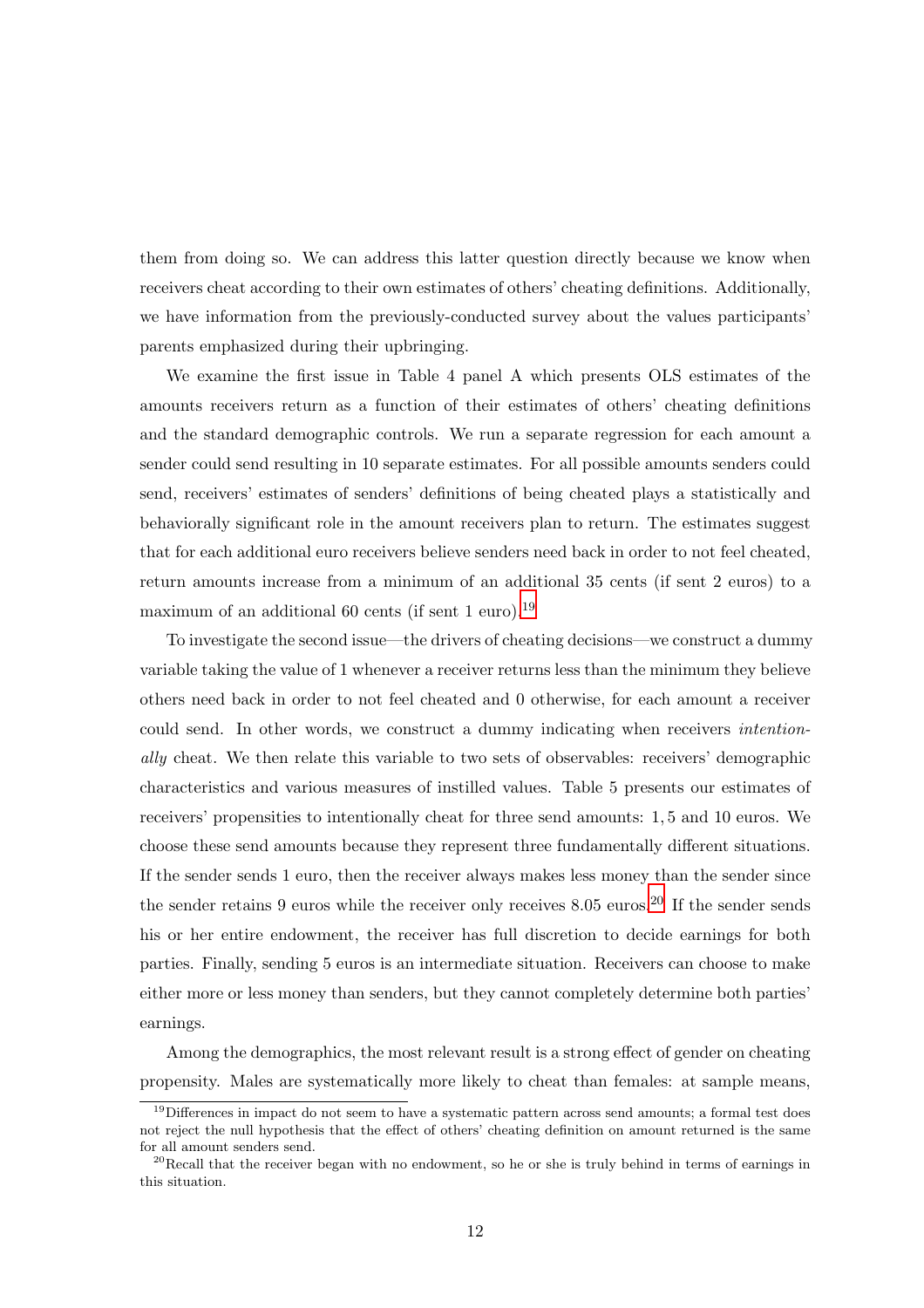them from doing so. We can address this latter question directly because we know when receivers cheat according to their own estimates of others' cheating definitions. Additionally, we have information from the previously-conducted survey about the values participants' parents emphasized during their upbringing.

We examine the first issue in Table 4 panel A which presents OLS estimates of the amounts receivers return as a function of their estimates of others' cheating definitions and the standard demographic controls. We run a separate regression for each amount a sender could send resulting in 10 separate estimates. For all possible amounts senders could send, receivers' estimates of senders' definitions of being cheated plays a statistically and behaviorally significant role in the amount receivers plan to return. The estimates suggest that for each additional euro receivers believe senders need back in order to not feel cheated, return amounts increase from a minimum of an additional 35 cents (if sent 2 euros) to a maximum of an additional 60 cents (if sent 1 euro).<sup>19</sup>

To investigate the second issue—the drivers of cheating decisions—we construct a dummy variable taking the value of 1 whenever a receiver returns less than the minimum they believe others need back in order to not feel cheated and 0 otherwise, for each amount a receiver could send. In other words, we construct a dummy indicating when receivers intentionally cheat. We then relate this variable to two sets of observables: receivers' demographic characteristics and various measures of instilled values. Table 5 presents our estimates of receivers' propensities to intentionally cheat for three send amounts: 1, 5 and 10 euros. We choose these send amounts because they represent three fundamentally different situations. If the sender sends 1 euro, then the receiver always makes less money than the sender since the sender retains 9 euros while the receiver only receives 8.05 euros.<sup>20</sup> If the sender sends his or her entire endowment, the receiver has full discretion to decide earnings for both parties. Finally, sending 5 euros is an intermediate situation. Receivers can choose to make either more or less money than senders, but they cannot completely determine both parties' earnings.

Among the demographics, the most relevant result is a strong effect of gender on cheating propensity. Males are systematically more likely to cheat than females: at sample means,

 $19$ Differences in impact do not seem to have a systematic pattern across send amounts; a formal test does not reject the null hypothesis that the effect of others' cheating definition on amount returned is the same for all amount senders send.

 $^{20}$ Recall that the receiver began with no endowment, so he or she is truly behind in terms of earnings in this situation.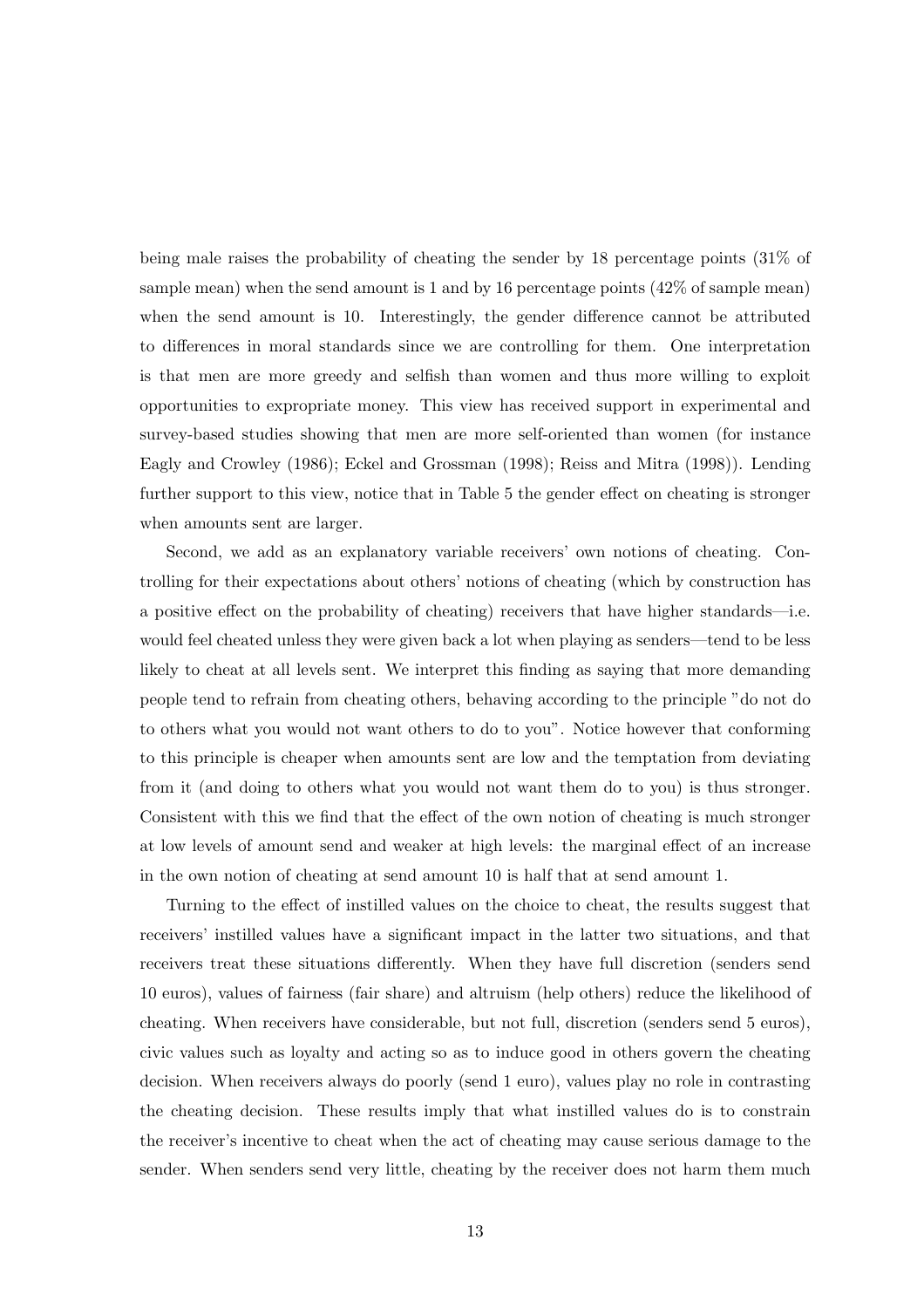being male raises the probability of cheating the sender by 18 percentage points (31% of sample mean) when the send amount is 1 and by 16 percentage points (42% of sample mean) when the send amount is 10. Interestingly, the gender difference cannot be attributed to differences in moral standards since we are controlling for them. One interpretation is that men are more greedy and selfish than women and thus more willing to exploit opportunities to expropriate money. This view has received support in experimental and survey-based studies showing that men are more self-oriented than women (for instance Eagly and Crowley (1986); Eckel and Grossman (1998); Reiss and Mitra (1998)). Lending further support to this view, notice that in Table 5 the gender effect on cheating is stronger when amounts sent are larger.

Second, we add as an explanatory variable receivers' own notions of cheating. Controlling for their expectations about others' notions of cheating (which by construction has a positive effect on the probability of cheating) receivers that have higher standards—i.e. would feel cheated unless they were given back a lot when playing as senders—tend to be less likely to cheat at all levels sent. We interpret this finding as saying that more demanding people tend to refrain from cheating others, behaving according to the principle "do not do to others what you would not want others to do to you". Notice however that conforming to this principle is cheaper when amounts sent are low and the temptation from deviating from it (and doing to others what you would not want them do to you) is thus stronger. Consistent with this we find that the effect of the own notion of cheating is much stronger at low levels of amount send and weaker at high levels: the marginal effect of an increase in the own notion of cheating at send amount 10 is half that at send amount 1.

Turning to the effect of instilled values on the choice to cheat, the results suggest that receivers' instilled values have a significant impact in the latter two situations, and that receivers treat these situations differently. When they have full discretion (senders send 10 euros), values of fairness (fair share) and altruism (help others) reduce the likelihood of cheating. When receivers have considerable, but not full, discretion (senders send 5 euros), civic values such as loyalty and acting so as to induce good in others govern the cheating decision. When receivers always do poorly (send 1 euro), values play no role in contrasting the cheating decision. These results imply that what instilled values do is to constrain the receiver's incentive to cheat when the act of cheating may cause serious damage to the sender. When senders send very little, cheating by the receiver does not harm them much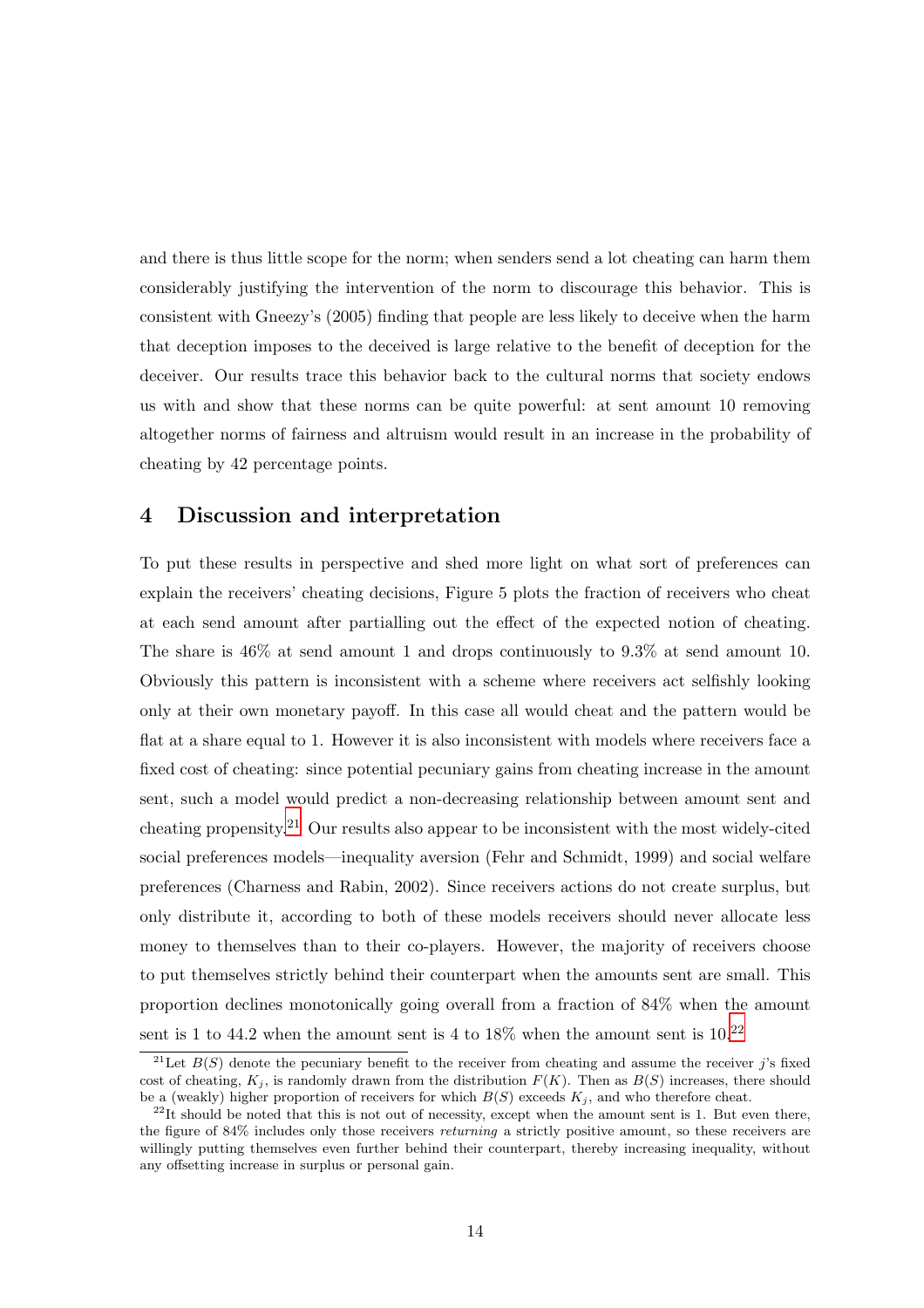and there is thus little scope for the norm; when senders send a lot cheating can harm them considerably justifying the intervention of the norm to discourage this behavior. This is consistent with Gneezy's (2005) finding that people are less likely to deceive when the harm that deception imposes to the deceived is large relative to the benefit of deception for the deceiver. Our results trace this behavior back to the cultural norms that society endows us with and show that these norms can be quite powerful: at sent amount 10 removing altogether norms of fairness and altruism would result in an increase in the probability of cheating by 42 percentage points.

### 4 Discussion and interpretation

To put these results in perspective and shed more light on what sort of preferences can explain the receivers' cheating decisions, Figure 5 plots the fraction of receivers who cheat at each send amount after partialling out the effect of the expected notion of cheating. The share is 46% at send amount 1 and drops continuously to 9.3% at send amount 10. Obviously this pattern is inconsistent with a scheme where receivers act selfishly looking only at their own monetary payoff. In this case all would cheat and the pattern would be flat at a share equal to 1. However it is also inconsistent with models where receivers face a fixed cost of cheating: since potential pecuniary gains from cheating increase in the amount sent, such a model would predict a non-decreasing relationship between amount sent and cheating propensity.<sup>21</sup> Our results also appear to be inconsistent with the most widely-cited social preferences models—inequality aversion (Fehr and Schmidt, 1999) and social welfare preferences (Charness and Rabin, 2002). Since receivers actions do not create surplus, but only distribute it, according to both of these models receivers should never allocate less money to themselves than to their co-players. However, the majority of receivers choose to put themselves strictly behind their counterpart when the amounts sent are small. This proportion declines monotonically going overall from a fraction of 84% when the amount sent is 1 to 44.2 when the amount sent is 4 to  $18\%$  when the amount sent is  $10^{22}$ 

<sup>&</sup>lt;sup>21</sup>Let  $B(S)$  denote the pecuniary benefit to the receiver from cheating and assume the receiver j's fixed cost of cheating,  $K_i$ , is randomly drawn from the distribution  $F(K)$ . Then as  $B(S)$  increases, there should be a (weakly) higher proportion of receivers for which  $B(S)$  exceeds  $K_i$ , and who therefore cheat.

 $^{22}$ It should be noted that this is not out of necessity, except when the amount sent is 1. But even there, the figure of 84% includes only those receivers returning a strictly positive amount, so these receivers are willingly putting themselves even further behind their counterpart, thereby increasing inequality, without any offsetting increase in surplus or personal gain.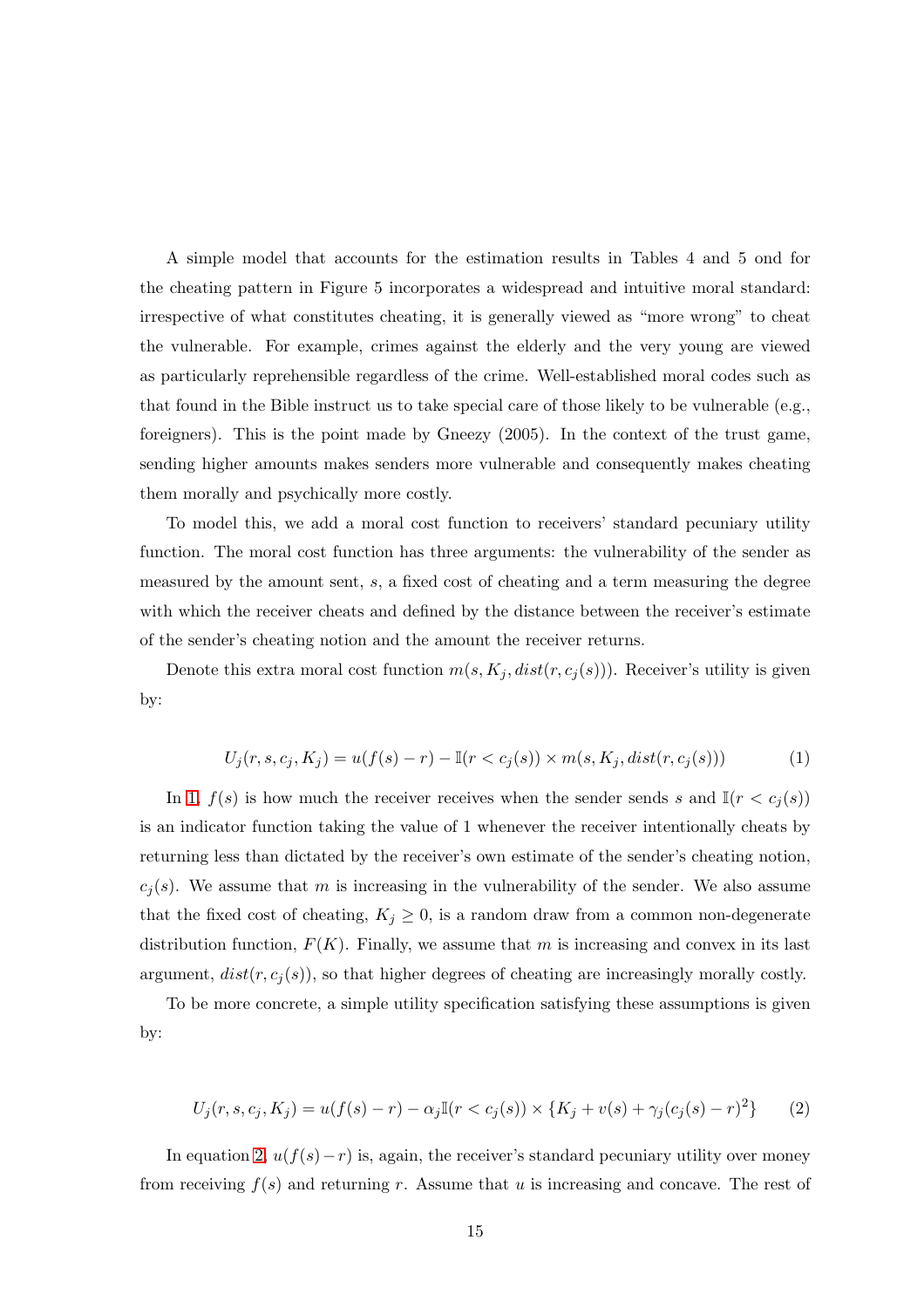A simple model that accounts for the estimation results in Tables 4 and 5 ond for the cheating pattern in Figure 5 incorporates a widespread and intuitive moral standard: irrespective of what constitutes cheating, it is generally viewed as "more wrong" to cheat the vulnerable. For example, crimes against the elderly and the very young are viewed as particularly reprehensible regardless of the crime. Well-established moral codes such as that found in the Bible instruct us to take special care of those likely to be vulnerable (e.g., foreigners). This is the point made by Gneezy (2005). In the context of the trust game, sending higher amounts makes senders more vulnerable and consequently makes cheating them morally and psychically more costly.

To model this, we add a moral cost function to receivers' standard pecuniary utility function. The moral cost function has three arguments: the vulnerability of the sender as measured by the amount sent, s, a fixed cost of cheating and a term measuring the degree with which the receiver cheats and defined by the distance between the receiver's estimate of the sender's cheating notion and the amount the receiver returns.

Denote this extra moral cost function  $m(s, K_j, dist(r, c_j(s)))$ . Receiver's utility is given by:

$$
U_j(r, s, c_j, K_j) = u(f(s) - r) - \mathbb{I}(r < c_j(s)) \times m(s, K_j, dist(r, c_j(s))) \tag{1}
$$

In 1,  $f(s)$  is how much the receiver receives when the sender sends s and  $\mathbb{I}(r < c_j(s))$ is an indicator function taking the value of 1 whenever the receiver intentionally cheats by returning less than dictated by the receiver's own estimate of the sender's cheating notion,  $c_j(s)$ . We assume that m is increasing in the vulnerability of the sender. We also assume that the fixed cost of cheating,  $K_j \geq 0$ , is a random draw from a common non-degenerate distribution function,  $F(K)$ . Finally, we assume that m is increasing and convex in its last argument,  $dist(r, c_j(s))$ , so that higher degrees of cheating are increasingly morally costly.

To be more concrete, a simple utility specification satisfying these assumptions is given by:

$$
U_j(r, s, c_j, K_j) = u(f(s) - r) - \alpha_j \mathbb{I}(r < c_j(s)) \times \{K_j + v(s) + \gamma_j(c_j(s) - r)^2\} \tag{2}
$$

In equation 2,  $u(f(s)-r)$  is, again, the receiver's standard pecuniary utility over money from receiving  $f(s)$  and returning r. Assume that u is increasing and concave. The rest of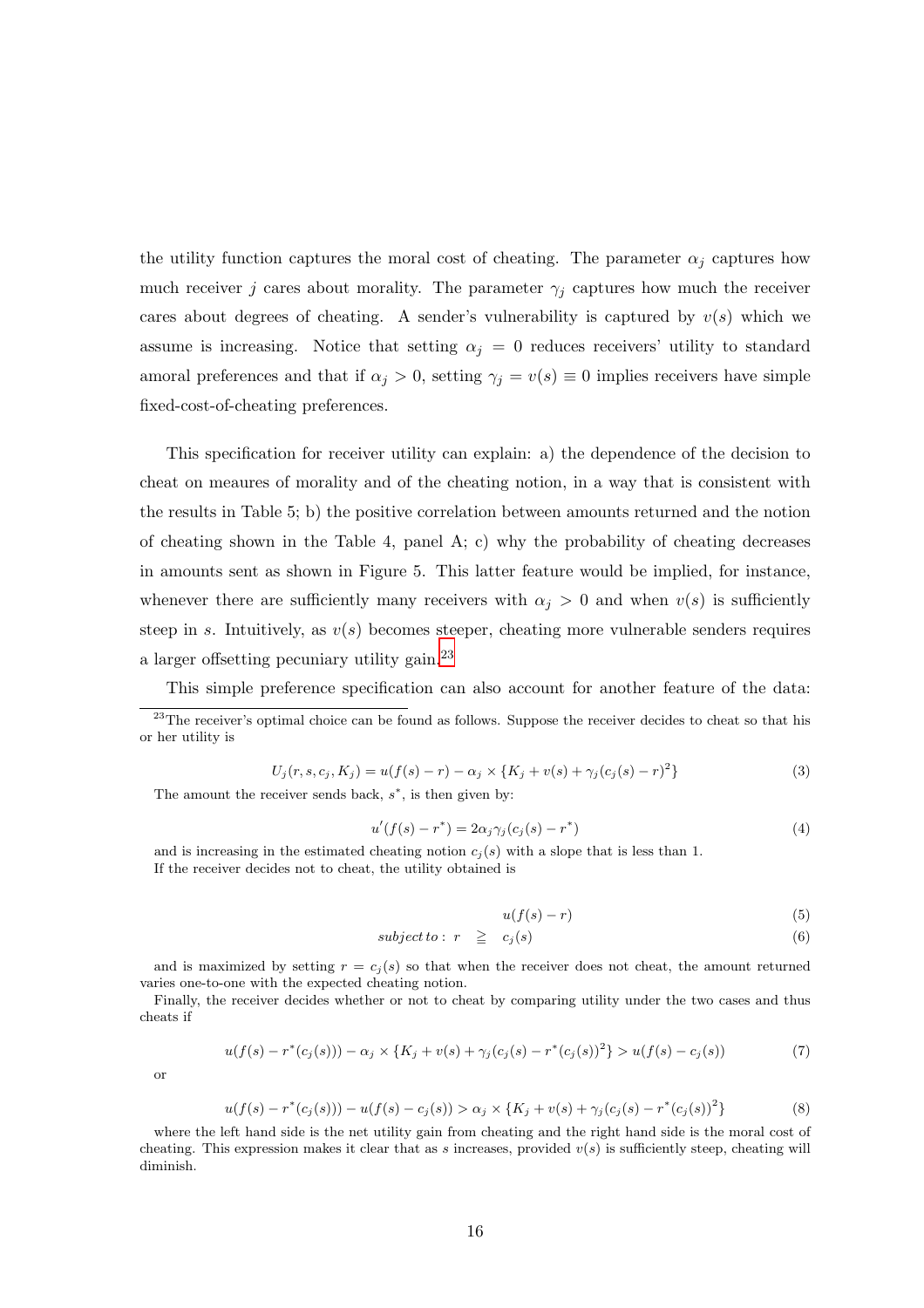the utility function captures the moral cost of cheating. The parameter  $\alpha_i$  captures how much receiver j cares about morality. The parameter  $\gamma_j$  captures how much the receiver cares about degrees of cheating. A sender's vulnerability is captured by  $v(s)$  which we assume is increasing. Notice that setting  $\alpha_j = 0$  reduces receivers' utility to standard amoral preferences and that if  $\alpha_j > 0$ , setting  $\gamma_j = v(s) \equiv 0$  implies receivers have simple fixed-cost-of-cheating preferences.

This specification for receiver utility can explain: a) the dependence of the decision to cheat on meaures of morality and of the cheating notion, in a way that is consistent with the results in Table 5; b) the positive correlation between amounts returned and the notion of cheating shown in the Table 4, panel  $A$ ; c) why the probability of cheating decreases in amounts sent as shown in Figure 5. This latter feature would be implied, for instance, whenever there are sufficiently many receivers with  $\alpha_j > 0$  and when  $v(s)$  is sufficiently steep in s. Intuitively, as  $v(s)$  becomes steeper, cheating more vulnerable senders requires a larger offsetting pecuniary utility gain.<sup>23</sup>

This simple preference specification can also account for another feature of the data:

$$
U_j(r, s, c_j, K_j) = u(f(s) - r) - \alpha_j \times \{K_j + v(s) + \gamma_j(c_j(s) - r)^2\}
$$
\n(3)

The amount the receiver sends back,  $s^*$ , is then given by:

$$
u'(f(s) - r^*) = 2\alpha_j \gamma_j (c_j(s) - r^*)
$$
\n(4)

and is increasing in the estimated cheating notion  $c_j(s)$  with a slope that is less than 1. If the receiver decides not to cheat, the utility obtained is

$$
u(f(s) - r) \tag{5}
$$

$$
subject to: r \geq c_j(s) \tag{6}
$$

and is maximized by setting  $r = c_j(s)$  so that when the receiver does not cheat, the amount returned varies one-to-one with the expected cheating notion.

Finally, the receiver decides whether or not to cheat by comparing utility under the two cases and thus cheats if

$$
u(f(s) - r^*(c_j(s))) - \alpha_j \times \{K_j + v(s) + \gamma_j(c_j(s) - r^*(c_j(s))^2\} > u(f(s) - c_j(s))\tag{7}
$$

or

$$
u(f(s) - r^*(c_j(s))) - u(f(s) - c_j(s)) > \alpha_j \times \{K_j + v(s) + \gamma_j(c_j(s) - r^*(c_j(s))^2\} \tag{8}
$$

where the left hand side is the net utility gain from cheating and the right hand side is the moral cost of cheating. This expression makes it clear that as s increases, provided  $v(s)$  is sufficiently steep, cheating will diminish.

<sup>&</sup>lt;sup>23</sup>The receiver's optimal choice can be found as follows. Suppose the receiver decides to cheat so that his or her utility is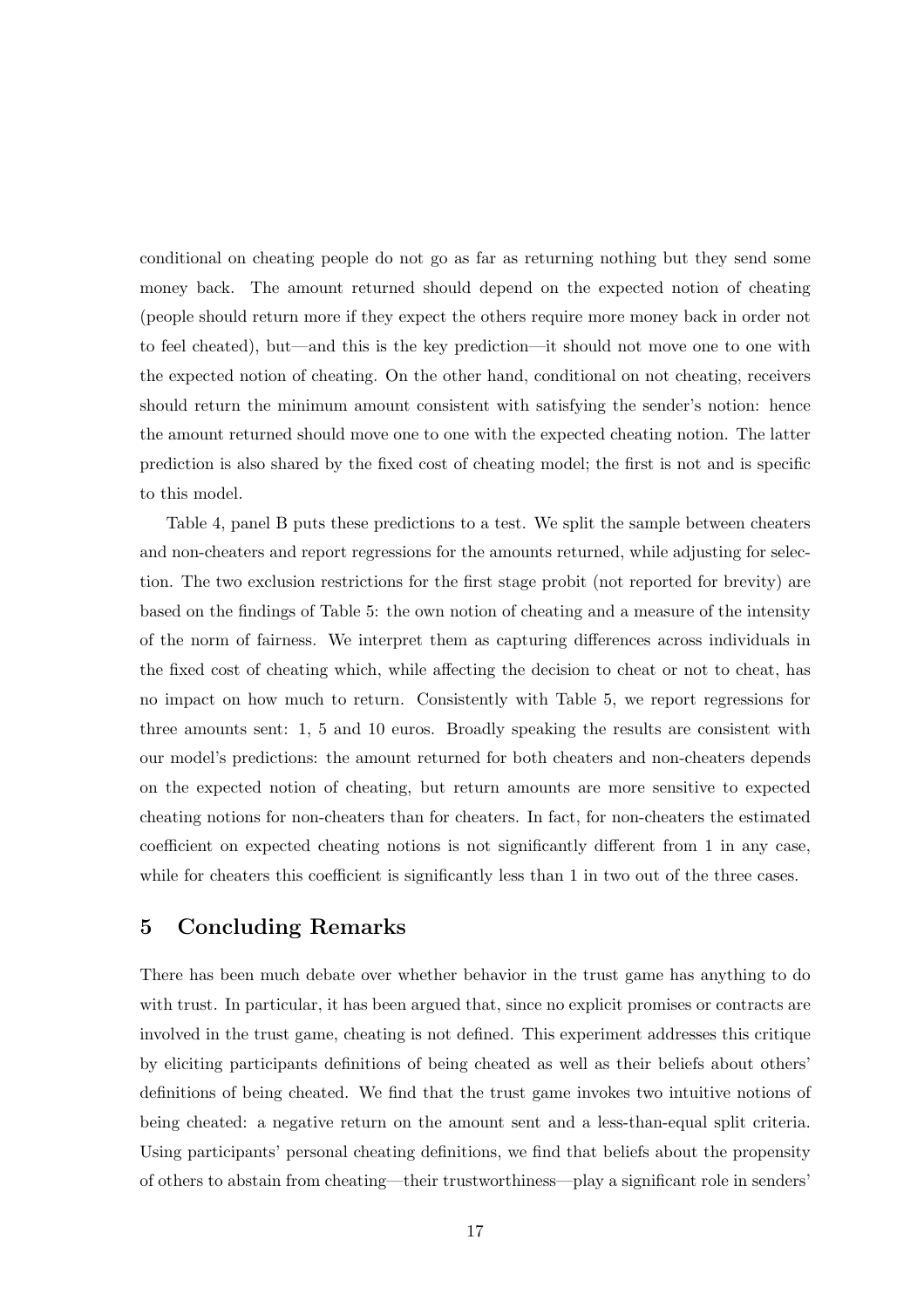conditional on cheating people do not go as far as returning nothing but they send some money back. The amount returned should depend on the expected notion of cheating (people should return more if they expect the others require more money back in order not to feel cheated), but—and this is the key prediction—it should not move one to one with the expected notion of cheating. On the other hand, conditional on not cheating, receivers should return the minimum amount consistent with satisfying the sender's notion: hence the amount returned should move one to one with the expected cheating notion. The latter prediction is also shared by the fixed cost of cheating model; the first is not and is specific to this model.

Table 4, panel B puts these predictions to a test. We split the sample between cheaters and non-cheaters and report regressions for the amounts returned, while adjusting for selection. The two exclusion restrictions for the first stage probit (not reported for brevity) are based on the findings of Table 5: the own notion of cheating and a measure of the intensity of the norm of fairness. We interpret them as capturing differences across individuals in the fixed cost of cheating which, while affecting the decision to cheat or not to cheat, has no impact on how much to return. Consistently with Table 5, we report regressions for three amounts sent: 1, 5 and 10 euros. Broadly speaking the results are consistent with our model's predictions: the amount returned for both cheaters and non-cheaters depends on the expected notion of cheating, but return amounts are more sensitive to expected cheating notions for non-cheaters than for cheaters. In fact, for non-cheaters the estimated coefficient on expected cheating notions is not significantly different from 1 in any case, while for cheaters this coefficient is significantly less than 1 in two out of the three cases.

### 5 Concluding Remarks

There has been much debate over whether behavior in the trust game has anything to do with trust. In particular, it has been argued that, since no explicit promises or contracts are involved in the trust game, cheating is not defined. This experiment addresses this critique by eliciting participants definitions of being cheated as well as their beliefs about others' definitions of being cheated. We find that the trust game invokes two intuitive notions of being cheated: a negative return on the amount sent and a less-than-equal split criteria. Using participants' personal cheating definitions, we find that beliefs about the propensity of others to abstain from cheating—their trustworthiness—play a significant role in senders'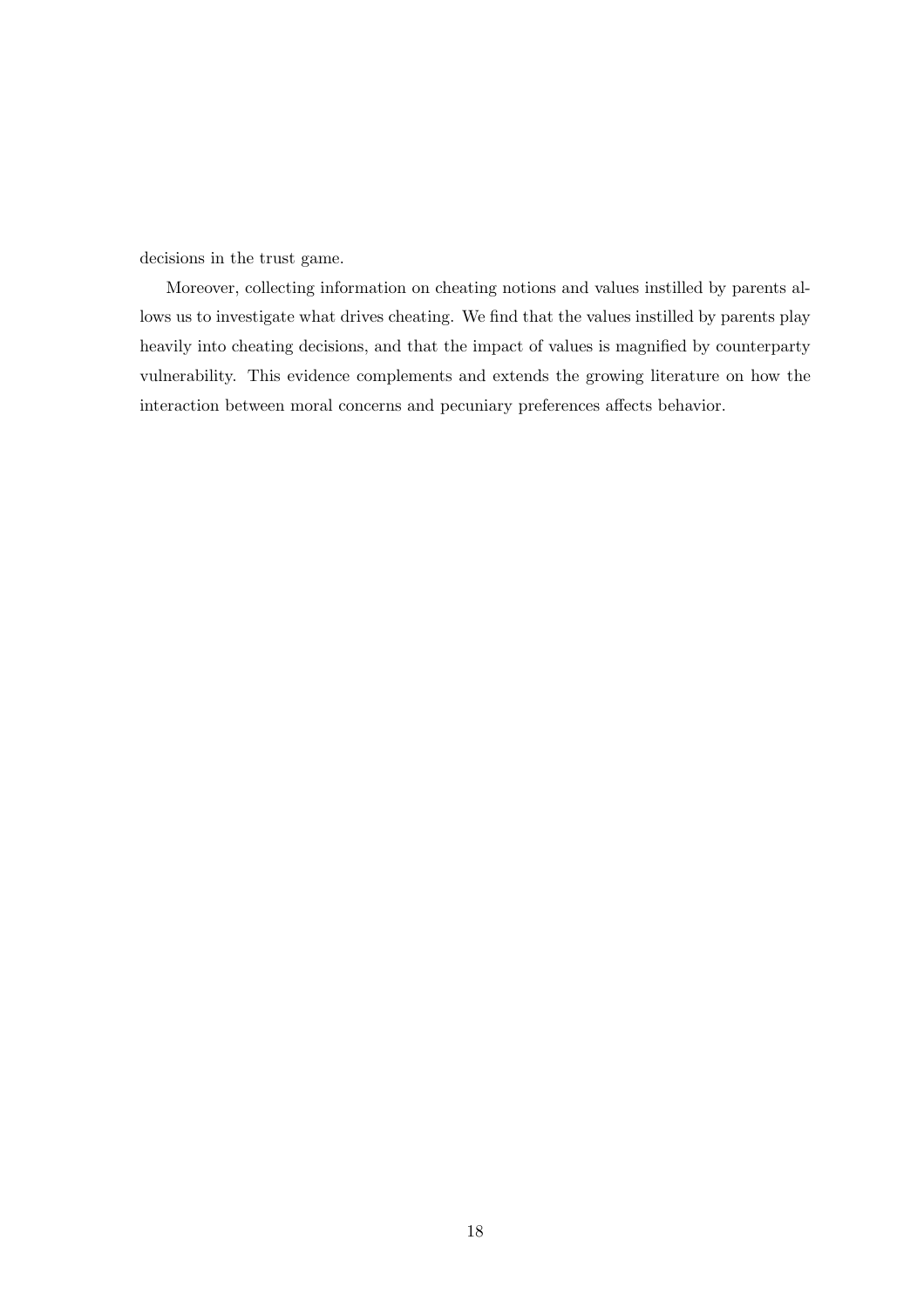decisions in the trust game.

Moreover, collecting information on cheating notions and values instilled by parents allows us to investigate what drives cheating. We find that the values instilled by parents play heavily into cheating decisions, and that the impact of values is magnified by counterparty vulnerability. This evidence complements and extends the growing literature on how the interaction between moral concerns and pecuniary preferences affects behavior.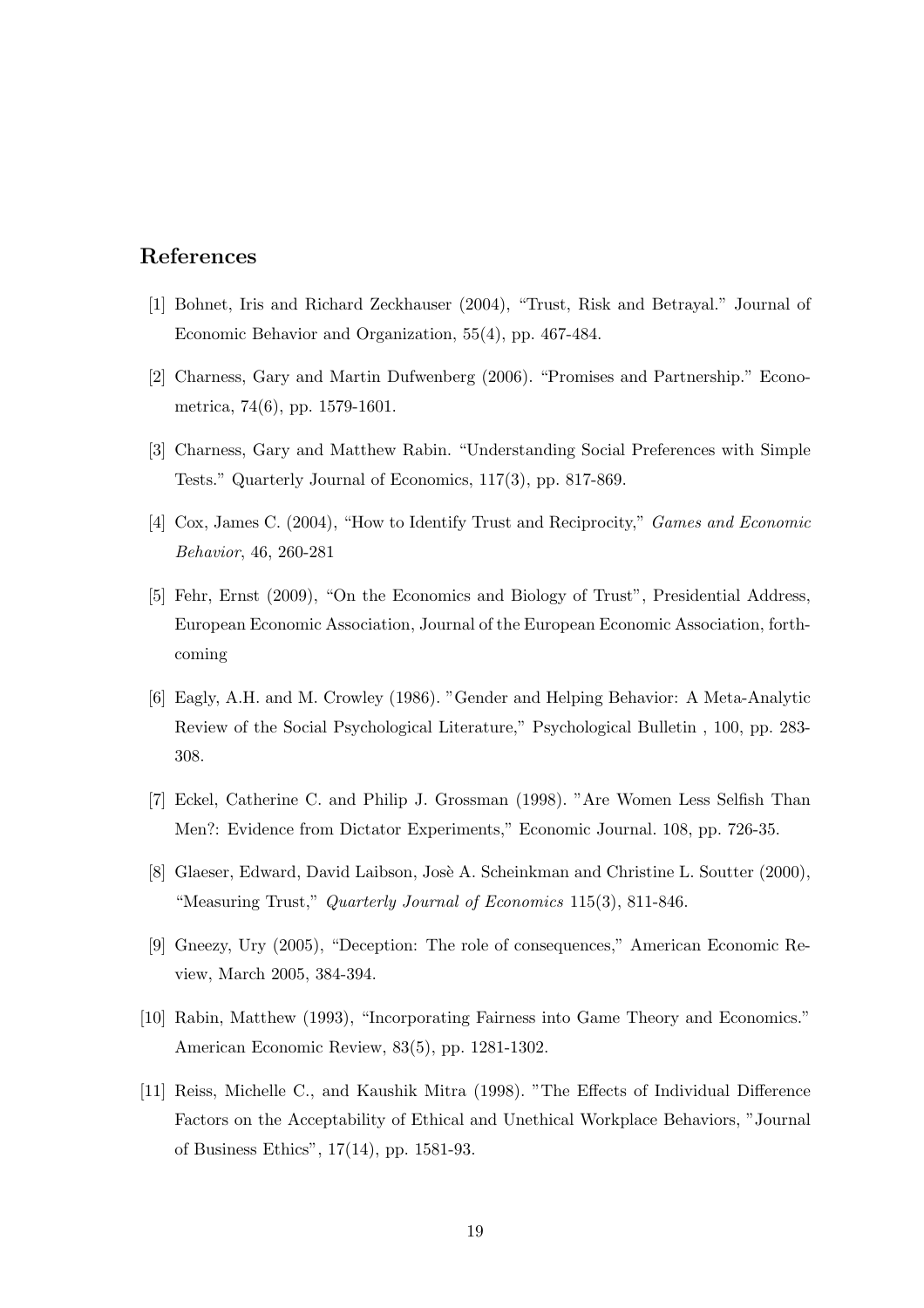### References

- [1] Bohnet, Iris and Richard Zeckhauser (2004), "Trust, Risk and Betrayal." Journal of Economic Behavior and Organization, 55(4), pp. 467-484.
- [2] Charness, Gary and Martin Dufwenberg (2006). "Promises and Partnership." Econometrica, 74(6), pp. 1579-1601.
- [3] Charness, Gary and Matthew Rabin. "Understanding Social Preferences with Simple Tests." Quarterly Journal of Economics, 117(3), pp. 817-869.
- [4] Cox, James C. (2004), "How to Identify Trust and Reciprocity," Games and Economic Behavior, 46, 260-281
- [5] Fehr, Ernst (2009), "On the Economics and Biology of Trust", Presidential Address, European Economic Association, Journal of the European Economic Association, forthcoming
- [6] Eagly, A.H. and M. Crowley (1986). "Gender and Helping Behavior: A Meta-Analytic Review of the Social Psychological Literature," Psychological Bulletin , 100, pp. 283- 308.
- [7] Eckel, Catherine C. and Philip J. Grossman (1998). "Are Women Less Selfish Than Men?: Evidence from Dictator Experiments," Economic Journal. 108, pp. 726-35.
- [8] Glaeser, Edward, David Laibson, Josè A. Scheinkman and Christine L. Soutter (2000), "Measuring Trust," Quarterly Journal of Economics 115(3), 811-846.
- [9] Gneezy, Ury (2005), "Deception: The role of consequences," American Economic Review, March 2005, 384-394.
- [10] Rabin, Matthew (1993), "Incorporating Fairness into Game Theory and Economics." American Economic Review, 83(5), pp. 1281-1302.
- [11] Reiss, Michelle C., and Kaushik Mitra (1998). "The Effects of Individual Difference Factors on the Acceptability of Ethical and Unethical Workplace Behaviors, "Journal of Business Ethics", 17(14), pp. 1581-93.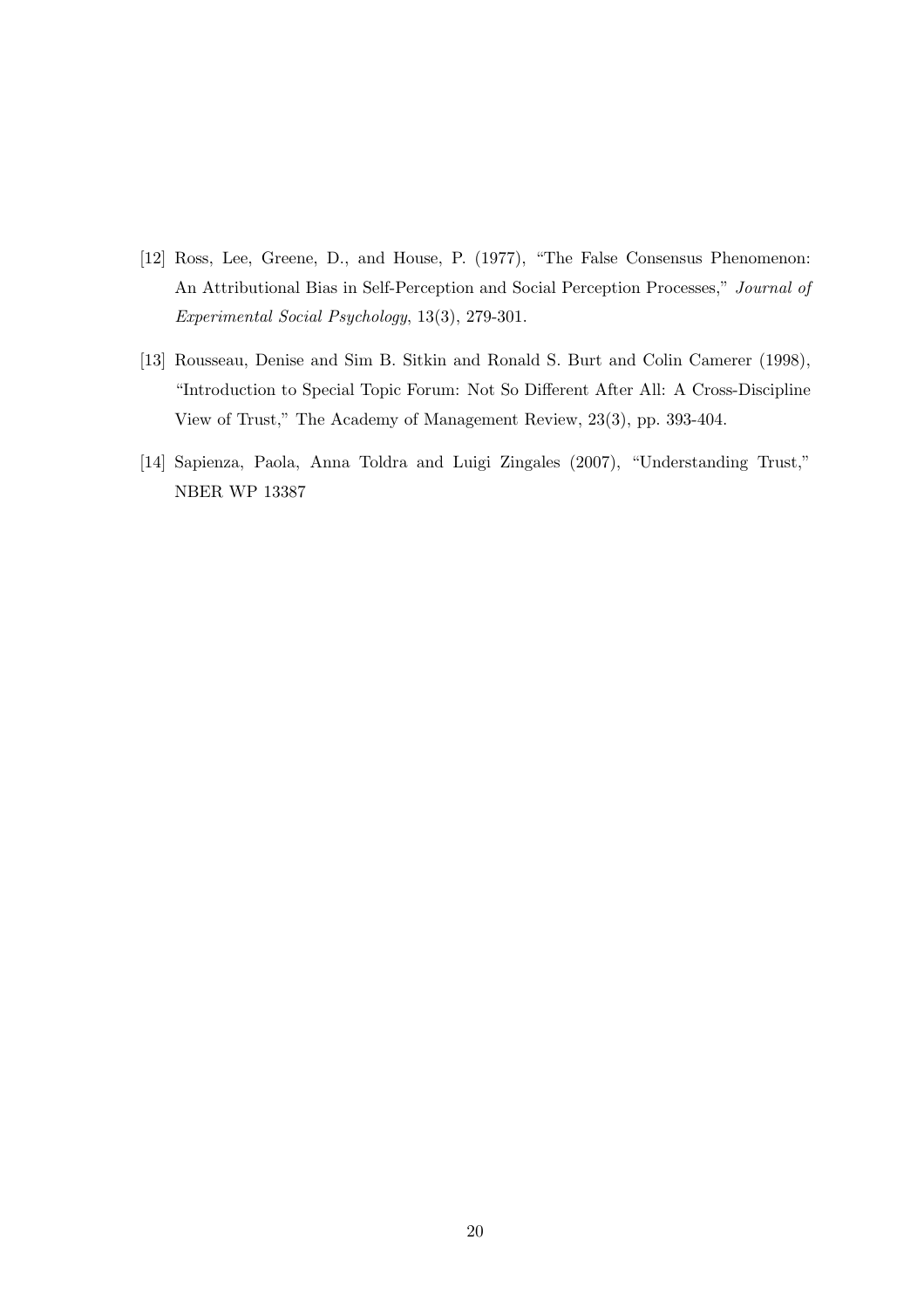- [12] Ross, Lee, Greene, D., and House, P. (1977), "The False Consensus Phenomenon: An Attributional Bias in Self-Perception and Social Perception Processes," Journal of Experimental Social Psychology, 13(3), 279-301.
- [13] Rousseau, Denise and Sim B. Sitkin and Ronald S. Burt and Colin Camerer (1998), "Introduction to Special Topic Forum: Not So Different After All: A Cross-Discipline View of Trust," The Academy of Management Review, 23(3), pp. 393-404.
- [14] Sapienza, Paola, Anna Toldra and Luigi Zingales (2007), "Understanding Trust," NBER WP 13387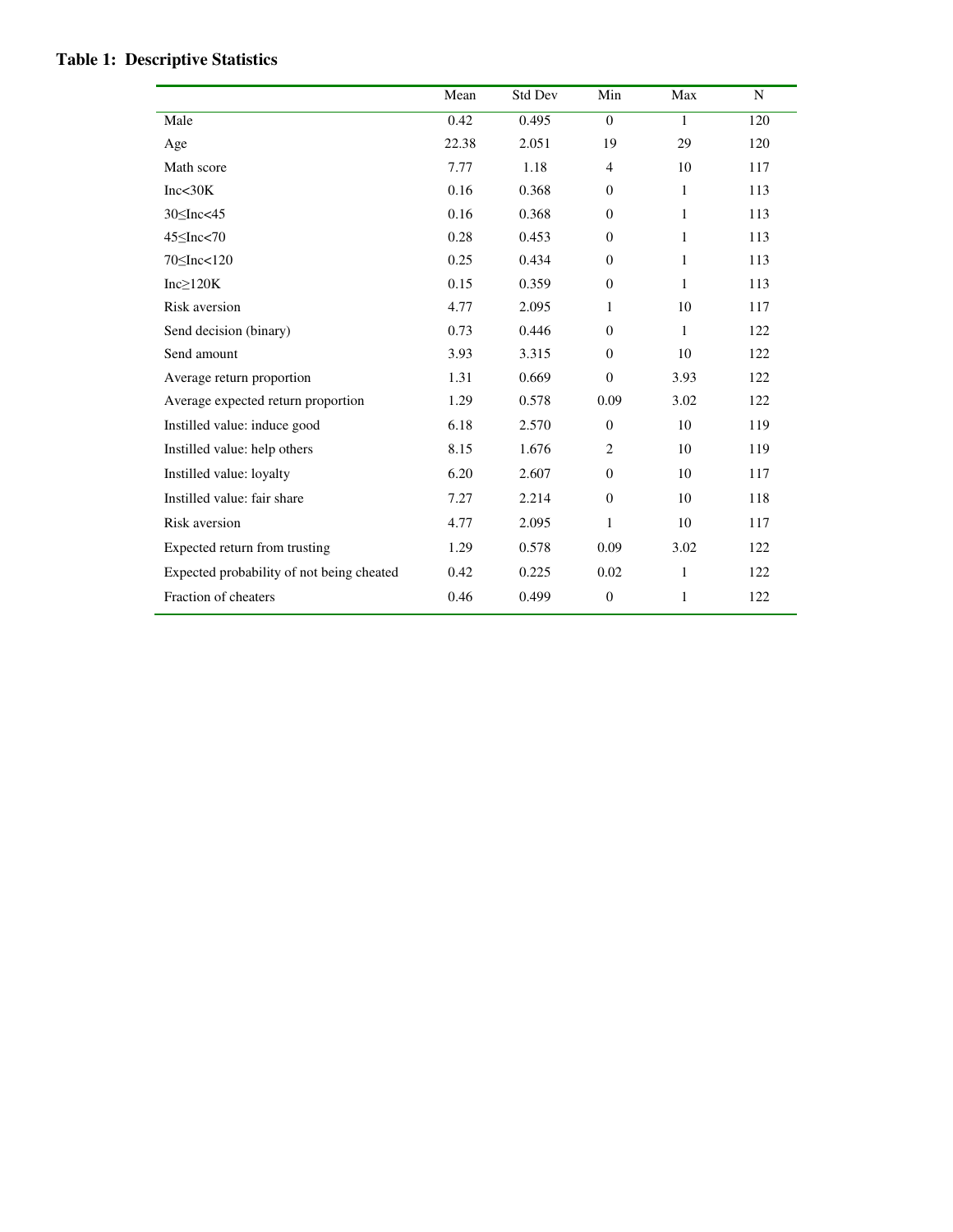|                                           | Mean  | Std Dev | Min            | Max          | N   |
|-------------------------------------------|-------|---------|----------------|--------------|-----|
| Male                                      | 0.42  | 0.495   | $\theta$       | 1            | 120 |
| Age                                       | 22.38 | 2.051   | 19             | 29           | 120 |
| Math score                                | 7.77  | 1.18    | $\overline{4}$ | 10           | 117 |
| Inc<30K                                   | 0.16  | 0.368   | $\Omega$       | 1            | 113 |
| $30 \leq Inc < 45$                        | 0.16  | 0.368   | $\overline{0}$ | 1            | 113 |
| $45 \leq Inc < 70$                        | 0.28  | 0.453   | $\theta$       | 1            | 113 |
| 70 SInc<120                               | 0.25  | 0.434   | $\Omega$       | 1            | 113 |
| $Inc \geq 120K$                           | 0.15  | 0.359   | $\theta$       | 1            | 113 |
| Risk aversion                             | 4.77  | 2.095   | 1              | 10           | 117 |
| Send decision (binary)                    | 0.73  | 0.446   | $\Omega$       | 1            | 122 |
| Send amount                               | 3.93  | 3.315   | $\Omega$       | 10           | 122 |
| Average return proportion                 | 1.31  | 0.669   | $\overline{0}$ | 3.93         | 122 |
| Average expected return proportion        | 1.29  | 0.578   | 0.09           | 3.02         | 122 |
| Instilled value: induce good              | 6.18  | 2.570   | $\theta$       | 10           | 119 |
| Instilled value: help others              | 8.15  | 1.676   | $\overline{2}$ | 10           | 119 |
| Instilled value: loyalty                  | 6.20  | 2.607   | $\theta$       | 10           | 117 |
| Instilled value: fair share               | 7.27  | 2.214   | $\Omega$       | 10           | 118 |
| Risk aversion                             | 4.77  | 2.095   | $\mathbf{1}$   | 10           | 117 |
| Expected return from trusting             | 1.29  | 0.578   | 0.09           | 3.02         | 122 |
| Expected probability of not being cheated | 0.42  | 0.225   | 0.02           | $\mathbf{1}$ | 122 |
| Fraction of cheaters                      | 0.46  | 0.499   | $\overline{0}$ | $\mathbf{1}$ | 122 |

### **Table 1: Descriptive Statistics**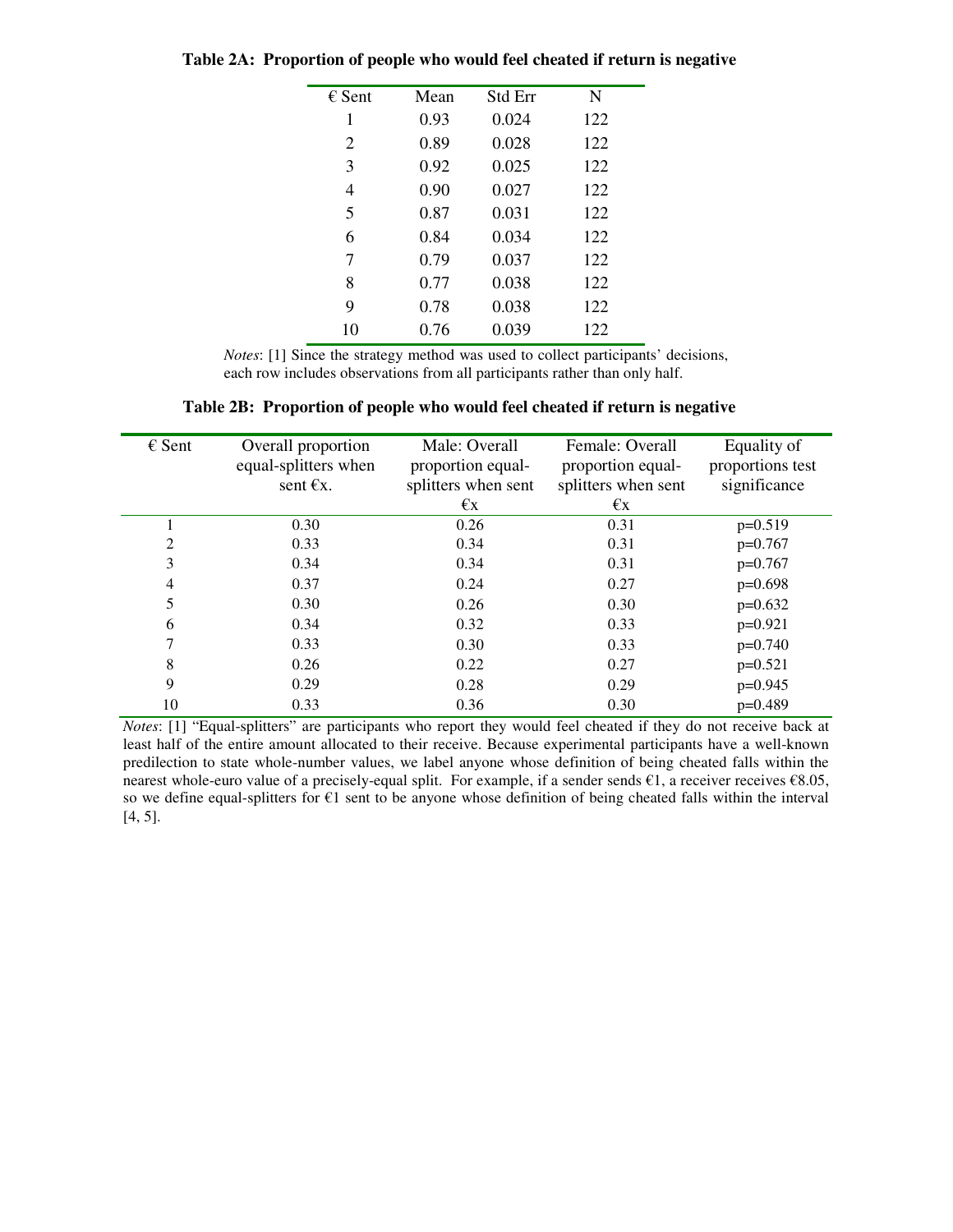| $\epsilon$ Sent | Mean | Std Err | N   |
|-----------------|------|---------|-----|
| 1               | 0.93 | 0.024   | 122 |
| 2               | 0.89 | 0.028   | 122 |
| 3               | 0.92 | 0.025   | 122 |
| 4               | 0.90 | 0.027   | 122 |
| 5               | 0.87 | 0.031   | 122 |
| 6               | 0.84 | 0.034   | 122 |
| 7               | 0.79 | 0.037   | 122 |
| 8               | 0.77 | 0.038   | 122 |
| 9               | 0.78 | 0.038   | 122 |
| 10              | 0.76 | 0.039   | 122 |
|                 |      |         |     |

**Table 2A: Proportion of people who would feel cheated if return is negative** 

*Notes*: [1] Since the strategy method was used to collect participants' decisions, each row includes observations from all participants rather than only half.

| Table 2B: Proportion of people who would feel cheated if return is negative |  |  |  |  |  |  |
|-----------------------------------------------------------------------------|--|--|--|--|--|--|
|-----------------------------------------------------------------------------|--|--|--|--|--|--|

| $\epsilon$ Sent | Overall proportion<br>equal-splitters when<br>sent $\epsilon$ x. | Male: Overall<br>proportion equal-<br>splitters when sent<br>€x | Female: Overall<br>proportion equal-<br>splitters when sent<br>€x | Equality of<br>proportions test<br>significance |
|-----------------|------------------------------------------------------------------|-----------------------------------------------------------------|-------------------------------------------------------------------|-------------------------------------------------|
|                 | 0.30                                                             | 0.26                                                            | 0.31                                                              | $p=0.519$                                       |
| 2               | 0.33                                                             | 0.34                                                            | 0.31                                                              | $p=0.767$                                       |
| 3               | 0.34                                                             | 0.34                                                            | 0.31                                                              | $p=0.767$                                       |
| 4               | 0.37                                                             | 0.24                                                            | 0.27                                                              | $p=0.698$                                       |
| 5               | 0.30                                                             | 0.26                                                            | 0.30                                                              | $p=0.632$                                       |
| 6               | 0.34                                                             | 0.32                                                            | 0.33                                                              | $p=0.921$                                       |
| 7               | 0.33                                                             | 0.30                                                            | 0.33                                                              | $p=0.740$                                       |
| 8               | 0.26                                                             | 0.22                                                            | 0.27                                                              | $p=0.521$                                       |
| 9               | 0.29                                                             | 0.28                                                            | 0.29                                                              | $p=0.945$                                       |
| 10              | 0.33                                                             | 0.36                                                            | 0.30                                                              | p=0.489                                         |

*Notes*: [1] "Equal-splitters" are participants who report they would feel cheated if they do not receive back at least half of the entire amount allocated to their receive. Because experimental participants have a well-known predilection to state whole-number values, we label anyone whose definition of being cheated falls within the nearest whole-euro value of a precisely-equal split. For example, if a sender sends  $\epsilon$ 1, a receiver receives  $\epsilon$ 8.05, so we define equal-splitters for  $\epsilon_1$  sent to be anyone whose definition of being cheated falls within the interval [4, 5].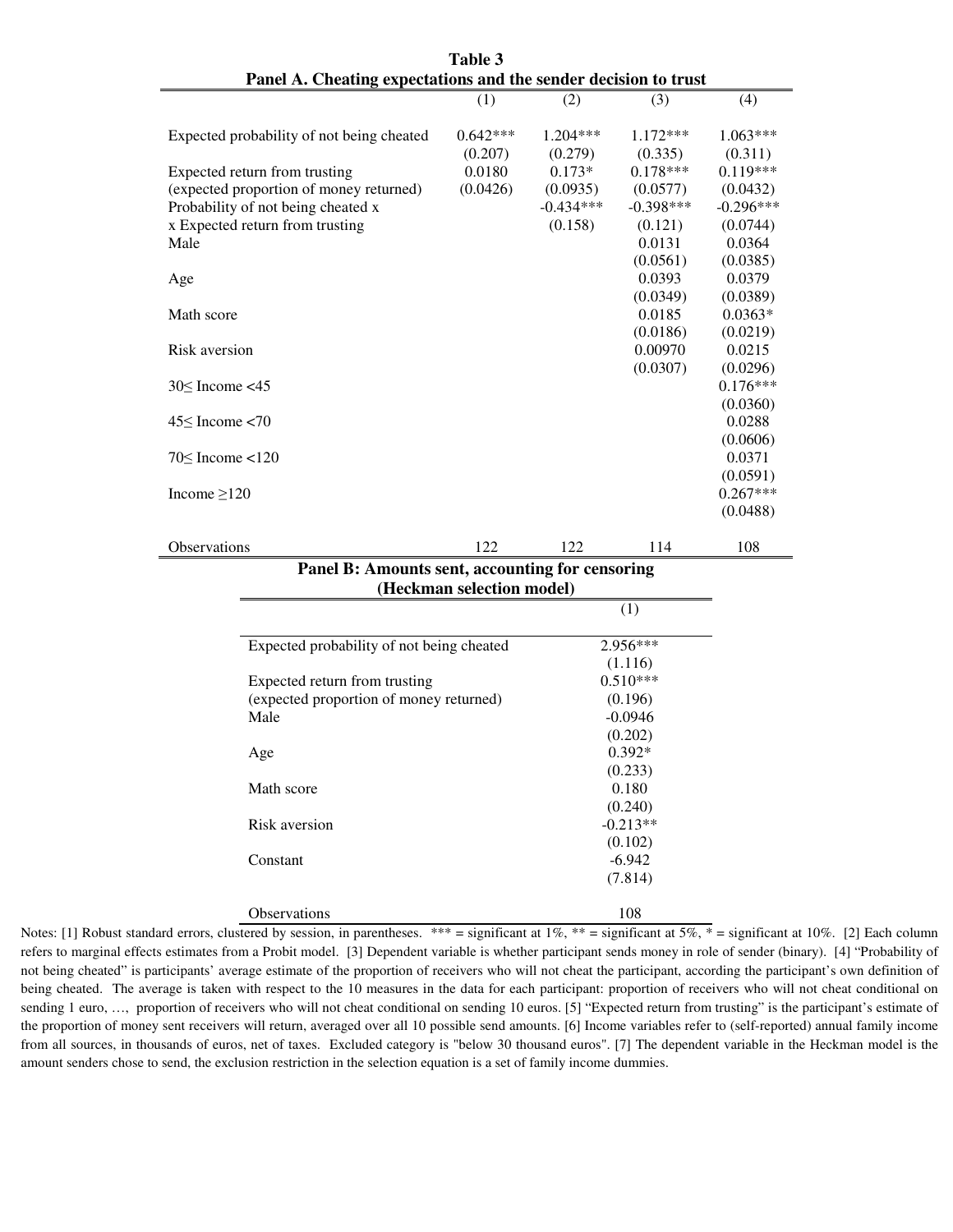| I allel A. Cheating expectations and the sender decision to trust |            |             |             |             |
|-------------------------------------------------------------------|------------|-------------|-------------|-------------|
|                                                                   | (1)        | (2)         | (3)         | (4)         |
|                                                                   |            |             |             |             |
| Expected probability of not being cheated                         | $0.642***$ | $1.204***$  | $1.172***$  | $1.063***$  |
|                                                                   | (0.207)    | (0.279)     | (0.335)     | (0.311)     |
| Expected return from trusting                                     | 0.0180     | $0.173*$    | $0.178***$  | $0.119***$  |
| (expected proportion of money returned)                           | (0.0426)   | (0.0935)    | (0.0577)    | (0.0432)    |
| Probability of not being cheated x                                |            | $-0.434***$ | $-0.398***$ | $-0.296***$ |
| x Expected return from trusting                                   |            | (0.158)     | (0.121)     | (0.0744)    |
| Male                                                              |            |             | 0.0131      | 0.0364      |
|                                                                   |            |             | (0.0561)    | (0.0385)    |
| Age                                                               |            |             | 0.0393      | 0.0379      |
|                                                                   |            |             | (0.0349)    | (0.0389)    |
| Math score                                                        |            |             | 0.0185      | $0.0363*$   |
|                                                                   |            |             | (0.0186)    | (0.0219)    |
| Risk aversion                                                     |            |             | 0.00970     | 0.0215      |
|                                                                   |            |             | (0.0307)    | (0.0296)    |
| $30 \leq$ Income <45                                              |            |             |             | $0.176***$  |
|                                                                   |            |             |             | (0.0360)    |
| $45<$ Income $<$ 70                                               |            |             |             | 0.0288      |
|                                                                   |            |             |             | (0.0606)    |
| $70<$ Income $<$ 120                                              |            |             |             | 0.0371      |
|                                                                   |            |             |             | (0.0591)    |
| Income $>120$                                                     |            |             |             | $0.267***$  |
|                                                                   |            |             |             | (0.0488)    |
|                                                                   |            |             |             |             |
| <b>Observations</b>                                               | 122        | 122         | 114         | 108         |

| Table 3                                                         |
|-----------------------------------------------------------------|
| Panel A. Cheating expectations and the sender decision to trust |

### **Panel B: Amounts sent, accounting for censoring (Heckman selection model)**

|                                           | (1)                   |
|-------------------------------------------|-----------------------|
|                                           |                       |
| Expected probability of not being cheated | $2.956***$<br>(1.116) |
| Expected return from trusting             | $0.510***$            |
| (expected proportion of money returned)   | (0.196)               |
| Male                                      | $-0.0946$             |
|                                           | (0.202)               |
| Age                                       | $0.392*$              |
|                                           | (0.233)               |
| Math score                                | 0.180                 |
|                                           | (0.240)               |
| Risk aversion                             | $-0.213**$            |
|                                           | (0.102)               |
| Constant                                  | $-6.942$              |
|                                           | (7.814)               |
| <b>Observations</b>                       | 108                   |

Notes: [1] Robust standard errors, clustered by session, in parentheses. \*\*\* = significant at 1%, \*\* = significant at 5%, \* = significant at 10%. [2] Each column refers to marginal effects estimates from a Probit model. [3] Dependent variable is whether participant sends money in role of sender (binary). [4] "Probability of not being cheated" is participants' average estimate of the proportion of receivers who will not cheat the participant, according the participant's own definition of being cheated. The average is taken with respect to the 10 measures in the data for each participant: proportion of receivers who will not cheat conditional on sending 1 euro, ..., proportion of receivers who will not cheat conditional on sending 10 euros. [5] "Expected return from trusting" is the participant's estimate of the proportion of money sent receivers will return, averaged over all 10 possible send amounts. [6] Income variables refer to (self-reported) annual family income from all sources, in thousands of euros, net of taxes. Excluded category is "below 30 thousand euros". [7] The dependent variable in the Heckman model is the amount senders chose to send, the exclusion restriction in the selection equation is a set of family income dummies.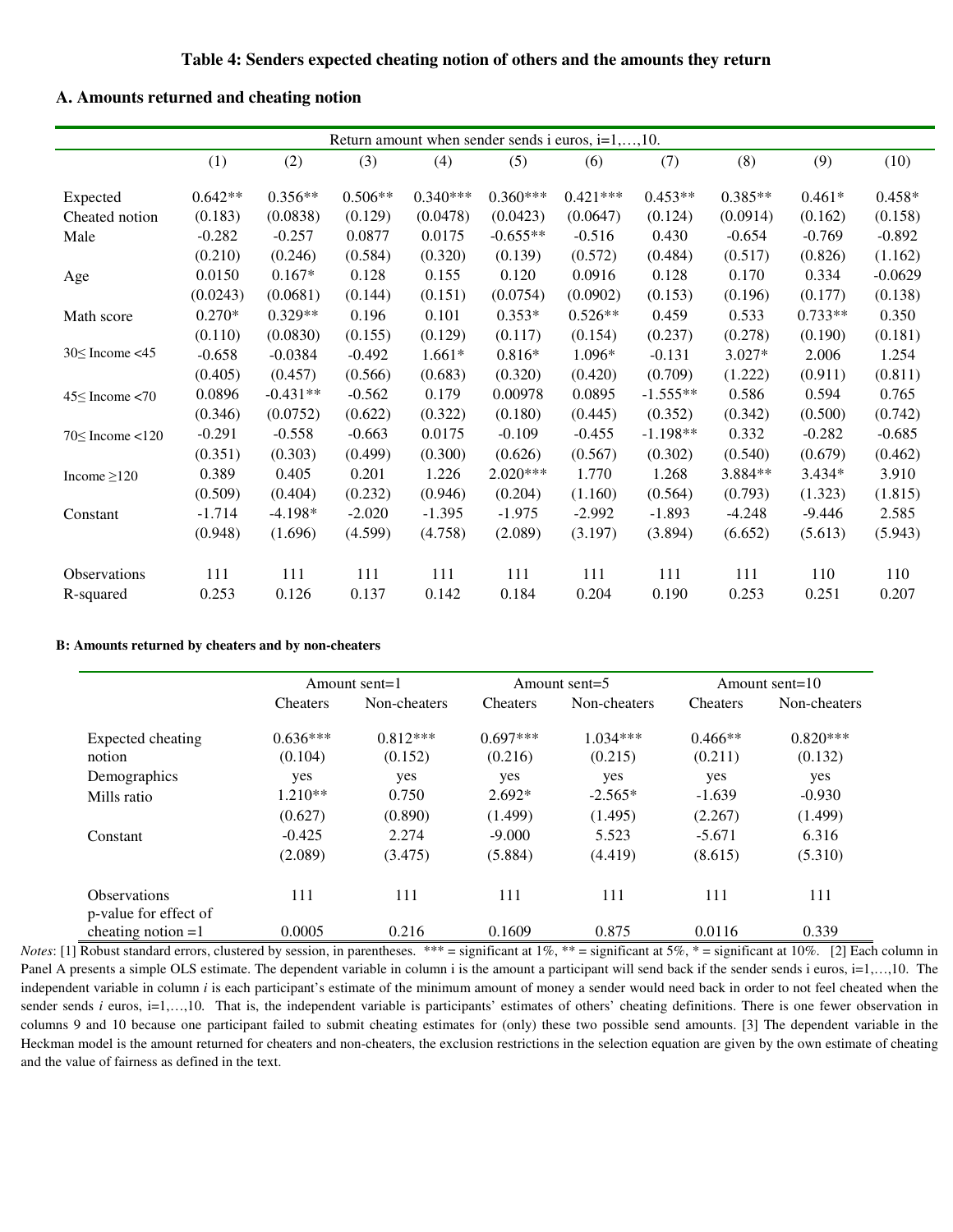#### **A. Amounts returned and cheating notion**

| Return amount when sender sends i euros, $i=1,,10$ . |           |            |           |            |            |            |            |           |           |           |
|------------------------------------------------------|-----------|------------|-----------|------------|------------|------------|------------|-----------|-----------|-----------|
|                                                      | (1)       | (2)        | (3)       | (4)        | (5)        | (6)        | (7)        | (8)       | (9)       | (10)      |
| Expected                                             | $0.642**$ | $0.356**$  | $0.506**$ | $0.340***$ | $0.360***$ | $0.421***$ | $0.453**$  | $0.385**$ | $0.461*$  | $0.458*$  |
| Cheated notion                                       | (0.183)   | (0.0838)   | (0.129)   | (0.0478)   | (0.0423)   | (0.0647)   | (0.124)    | (0.0914)  | (0.162)   | (0.158)   |
| Male                                                 | $-0.282$  | $-0.257$   | 0.0877    | 0.0175     | $-0.655**$ | $-0.516$   | 0.430      | $-0.654$  | $-0.769$  | $-0.892$  |
|                                                      | (0.210)   | (0.246)    | (0.584)   | (0.320)    | (0.139)    | (0.572)    | (0.484)    | (0.517)   | (0.826)   | (1.162)   |
| Age                                                  | 0.0150    | $0.167*$   | 0.128     | 0.155      | 0.120      | 0.0916     | 0.128      | 0.170     | 0.334     | $-0.0629$ |
|                                                      | (0.0243)  | (0.0681)   | (0.144)   | (0.151)    | (0.0754)   | (0.0902)   | (0.153)    | (0.196)   | (0.177)   | (0.138)   |
| Math score                                           | $0.270*$  | $0.329**$  | 0.196     | 0.101      | $0.353*$   | $0.526**$  | 0.459      | 0.533     | $0.733**$ | 0.350     |
|                                                      | (0.110)   | (0.0830)   | (0.155)   | (0.129)    | (0.117)    | (0.154)    | (0.237)    | (0.278)   | (0.190)   | (0.181)   |
| $30 \leq$ Income <45                                 | $-0.658$  | $-0.0384$  | $-0.492$  | $1.661*$   | $0.816*$   | 1.096*     | $-0.131$   | $3.027*$  | 2.006     | 1.254     |
|                                                      | (0.405)   | (0.457)    | (0.566)   | (0.683)    | (0.320)    | (0.420)    | (0.709)    | (1.222)   | (0.911)   | (0.811)   |
| $45 \leq$ Income <70                                 | 0.0896    | $-0.431**$ | $-0.562$  | 0.179      | 0.00978    | 0.0895     | $-1.555**$ | 0.586     | 0.594     | 0.765     |
|                                                      | (0.346)   | (0.0752)   | (0.622)   | (0.322)    | (0.180)    | (0.445)    | (0.352)    | (0.342)   | (0.500)   | (0.742)   |
| $70 \leq$ Income <120                                | $-0.291$  | $-0.558$   | $-0.663$  | 0.0175     | $-0.109$   | $-0.455$   | $-1.198**$ | 0.332     | $-0.282$  | $-0.685$  |
|                                                      | (0.351)   | (0.303)    | (0.499)   | (0.300)    | (0.626)    | (0.567)    | (0.302)    | (0.540)   | (0.679)   | (0.462)   |
| Income $\geq$ 120                                    | 0.389     | 0.405      | 0.201     | 1.226      | $2.020***$ | 1.770      | 1.268      | 3.884**   | $3.434*$  | 3.910     |
|                                                      | (0.509)   | (0.404)    | (0.232)   | (0.946)    | (0.204)    | (1.160)    | (0.564)    | (0.793)   | (1.323)   | (1.815)   |
| Constant                                             | $-1.714$  | $-4.198*$  | $-2.020$  | $-1.395$   | $-1.975$   | $-2.992$   | $-1.893$   | $-4.248$  | $-9.446$  | 2.585     |
|                                                      | (0.948)   | (1.696)    | (4.599)   | (4.758)    | (2.089)    | (3.197)    | (3.894)    | (6.652)   | (5.613)   | (5.943)   |
| Observations                                         | 111       | 111        | 111       | 111        | 111        | 111        | 111        | 111       | 110       | 110       |
| R-squared                                            | 0.253     | 0.126      | 0.137     | 0.142      | 0.184      | 0.204      | 0.190      | 0.253     | 0.251     | 0.207     |

#### **B: Amounts returned by cheaters and by non-cheaters**

|                                              |                       | Amount sent= $1$      |                       | Amount sent= $5$      | Amount sent= $10$    |                       |  |
|----------------------------------------------|-----------------------|-----------------------|-----------------------|-----------------------|----------------------|-----------------------|--|
|                                              | <b>Cheaters</b>       | Non-cheaters          | <b>Cheaters</b>       | Non-cheaters          | <b>Cheaters</b>      | Non-cheaters          |  |
| Expected cheating<br>notion                  | $0.636***$<br>(0.104) | $0.812***$<br>(0.152) | $0.697***$<br>(0.216) | $1.034***$<br>(0.215) | $0.466**$<br>(0.211) | $0.820***$<br>(0.132) |  |
| Demographics                                 | yes                   | yes                   | yes                   | yes                   | yes                  | yes                   |  |
| Mills ratio                                  | $1.210**$             | 0.750                 | $2.692*$              | $-2.565*$             | $-1.639$             | $-0.930$              |  |
|                                              | (0.627)               | (0.890)               | (1.499)               | (1.495)               | (2.267)              | (1.499)               |  |
| Constant                                     | $-0.425$              | 2.274                 | $-9.000$              | 5.523                 | $-5.671$             | 6.316                 |  |
|                                              | (2.089)               | (3.475)               | (5.884)               | (4.419)               | (8.615)              | (5.310)               |  |
| <b>Observations</b><br>p-value for effect of | 111                   | 111                   | 111                   | 111                   | 111                  | 111                   |  |
| cheating notion $=1$                         | 0.0005                | 0.216                 | 0.1609                | 0.875                 | 0.0116               | 0.339                 |  |

*Notes*: [1] Robust standard errors, clustered by session, in parentheses. \*\*\* = significant at 1%, \*\* = significant at 5%, \* = significant at 10%. [2] Each column in Panel A presents a simple OLS estimate. The dependent variable in column i is the amount a participant will send back if the sender sends i euros, i=1,...,10. The independent variable in column *i* is each participant's estimate of the minimum amount of money a sender would need back in order to not feel cheated when the sender sends  $i$  euros,  $i=1,...,10$ . That is, the independent variable is participants' estimates of others' cheating definitions. There is one fewer observation in columns 9 and 10 because one participant failed to submit cheating estimates for (only) these two possible send amounts. [3] The dependent variable in the Heckman model is the amount returned for cheaters and non-cheaters, the exclusion restrictions in the selection equation are given by the own estimate of cheating and the value of fairness as defined in the text.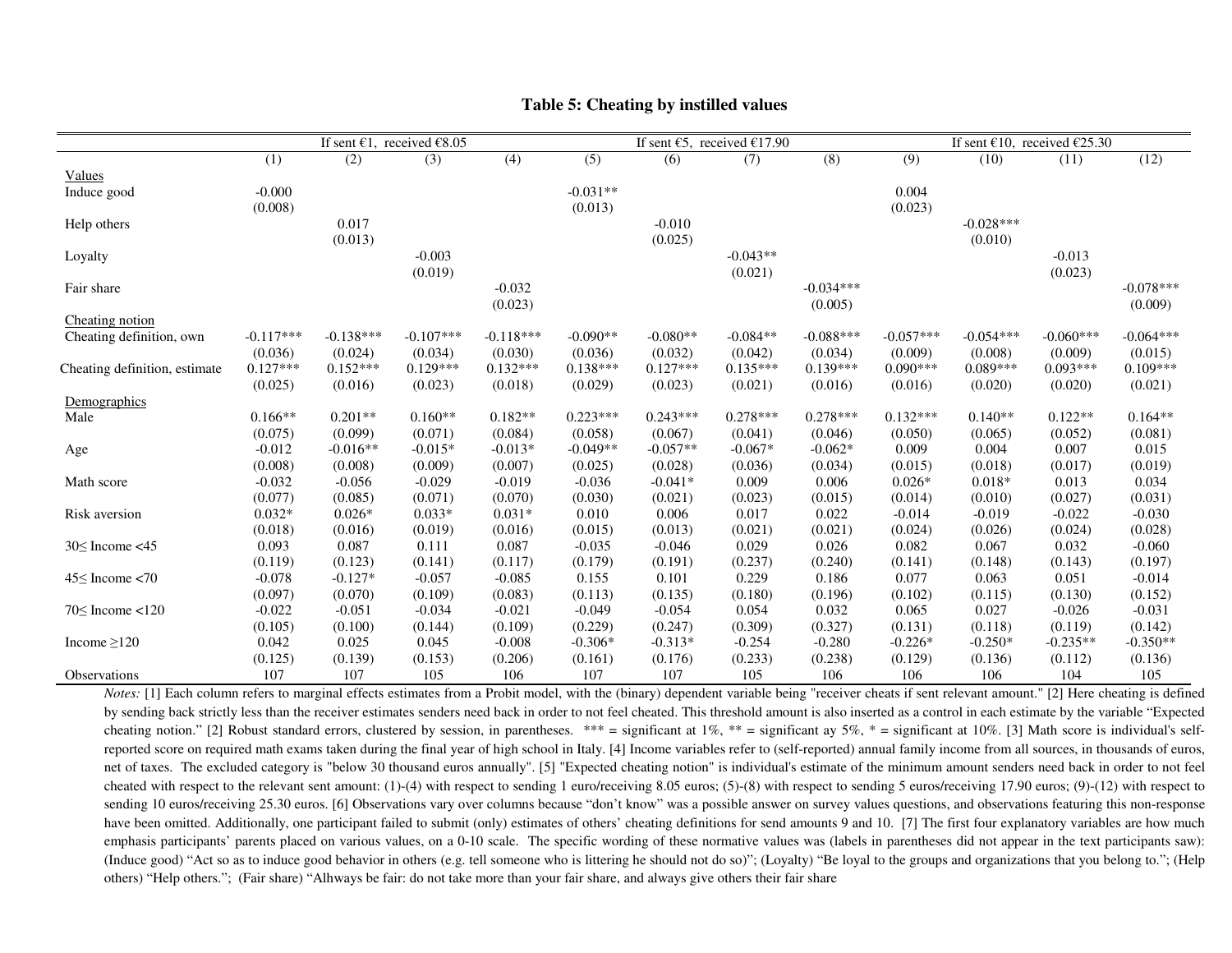|                               |             | If sent $\epsilon$ 1, received $\epsilon$ 8.05<br>If sent $\epsilon$ 5, received $\epsilon$ 17.90 |             |             |            | If sent $\epsilon$ 10, received $\epsilon$ 25.30 |            |             |             |             |             |             |
|-------------------------------|-------------|---------------------------------------------------------------------------------------------------|-------------|-------------|------------|--------------------------------------------------|------------|-------------|-------------|-------------|-------------|-------------|
|                               | (1)         | (2)                                                                                               | (3)         | (4)         | (5)        | (6)                                              | (7)        | (8)         | (9)         | (10)        | (11)        | (12)        |
| Values                        |             |                                                                                                   |             |             |            |                                                  |            |             |             |             |             |             |
| Induce good                   | $-0.000$    |                                                                                                   |             |             | $-0.031**$ |                                                  |            |             | 0.004       |             |             |             |
|                               | (0.008)     |                                                                                                   |             |             | (0.013)    |                                                  |            |             | (0.023)     |             |             |             |
| Help others                   |             | 0.017                                                                                             |             |             |            | $-0.010$                                         |            |             |             | $-0.028***$ |             |             |
|                               |             | (0.013)                                                                                           |             |             |            | (0.025)                                          |            |             |             | (0.010)     |             |             |
| Loyalty                       |             |                                                                                                   | $-0.003$    |             |            |                                                  | $-0.043**$ |             |             |             | $-0.013$    |             |
|                               |             |                                                                                                   | (0.019)     |             |            |                                                  | (0.021)    |             |             |             | (0.023)     |             |
| Fair share                    |             |                                                                                                   |             | $-0.032$    |            |                                                  |            | $-0.034***$ |             |             |             | $-0.078***$ |
|                               |             |                                                                                                   |             | (0.023)     |            |                                                  |            | (0.005)     |             |             |             | (0.009)     |
| Cheating notion               |             |                                                                                                   |             |             |            |                                                  |            |             |             |             |             |             |
| Cheating definition, own      | $-0.117***$ | $-0.138***$                                                                                       | $-0.107***$ | $-0.118***$ | $-0.090**$ | $-0.080**$                                       | $-0.084**$ | $-0.088***$ | $-0.057***$ | $-0.054***$ | $-0.060***$ | $-0.064***$ |
|                               | (0.036)     | (0.024)                                                                                           | (0.034)     | (0.030)     | (0.036)    | (0.032)                                          | (0.042)    | (0.034)     | (0.009)     | (0.008)     | (0.009)     | (0.015)     |
| Cheating definition, estimate | $0.127***$  | $0.152***$                                                                                        | $0.129***$  | $0.132***$  | $0.138***$ | $0.127***$                                       | $0.135***$ | $0.139***$  | $0.090***$  | $0.089***$  | $0.093***$  | $0.109***$  |
|                               | (0.025)     | (0.016)                                                                                           | (0.023)     | (0.018)     | (0.029)    | (0.023)                                          | (0.021)    | (0.016)     | (0.016)     | (0.020)     | (0.020)     | (0.021)     |
| Demographics                  |             |                                                                                                   |             |             |            |                                                  |            |             |             |             |             |             |
| Male                          | $0.166**$   | $0.201**$                                                                                         | $0.160**$   | $0.182**$   | $0.223***$ | $0.243***$                                       | $0.278***$ | $0.278***$  | $0.132***$  | $0.140**$   | $0.122**$   | $0.164**$   |
|                               | (0.075)     | (0.099)                                                                                           | (0.071)     | (0.084)     | (0.058)    | (0.067)                                          | (0.041)    | (0.046)     | (0.050)     | (0.065)     | (0.052)     | (0.081)     |
| Age                           | $-0.012$    | $-0.016**$                                                                                        | $-0.015*$   | $-0.013*$   | $-0.049**$ | $-0.057**$                                       | $-0.067*$  | $-0.062*$   | 0.009       | 0.004       | 0.007       | 0.015       |
|                               | (0.008)     | (0.008)                                                                                           | (0.009)     | (0.007)     | (0.025)    | (0.028)                                          | (0.036)    | (0.034)     | (0.015)     | (0.018)     | (0.017)     | (0.019)     |
| Math score                    | $-0.032$    | $-0.056$                                                                                          | $-0.029$    | $-0.019$    | $-0.036$   | $-0.041*$                                        | 0.009      | 0.006       | $0.026*$    | $0.018*$    | 0.013       | 0.034       |
|                               | (0.077)     | (0.085)                                                                                           | (0.071)     | (0.070)     | (0.030)    | (0.021)                                          | (0.023)    | (0.015)     | (0.014)     | (0.010)     | (0.027)     | (0.031)     |
| Risk aversion                 | $0.032*$    | $0.026*$                                                                                          | $0.033*$    | $0.031*$    | 0.010      | 0.006                                            | 0.017      | 0.022       | $-0.014$    | $-0.019$    | $-0.022$    | $-0.030$    |
|                               | (0.018)     | (0.016)                                                                                           | (0.019)     | (0.016)     | (0.015)    | (0.013)                                          | (0.021)    | (0.021)     | (0.024)     | (0.026)     | (0.024)     | (0.028)     |
| $30 \leq$ Income <45          | 0.093       | 0.087                                                                                             | 0.111       | 0.087       | $-0.035$   | $-0.046$                                         | 0.029      | 0.026       | 0.082       | 0.067       | 0.032       | $-0.060$    |
|                               | (0.119)     | (0.123)                                                                                           | (0.141)     | (0.117)     | (0.179)    | (0.191)                                          | (0.237)    | (0.240)     | (0.141)     | (0.148)     | (0.143)     | (0.197)     |
| $45 \leq$ Income <70          | $-0.078$    | $-0.127*$                                                                                         | $-0.057$    | $-0.085$    | 0.155      | 0.101                                            | 0.229      | 0.186       | 0.077       | 0.063       | 0.051       | $-0.014$    |
|                               | (0.097)     | (0.070)                                                                                           | (0.109)     | (0.083)     | (0.113)    | (0.135)                                          | (0.180)    | (0.196)     | (0.102)     | (0.115)     | (0.130)     | (0.152)     |
| $70 \leq$ Income <120         | $-0.022$    | $-0.051$                                                                                          | $-0.034$    | $-0.021$    | $-0.049$   | $-0.054$                                         | 0.054      | 0.032       | 0.065       | 0.027       | $-0.026$    | $-0.031$    |
|                               | (0.105)     | (0.100)                                                                                           | (0.144)     | (0.109)     | (0.229)    | (0.247)                                          | (0.309)    | (0.327)     | (0.131)     | (0.118)     | (0.119)     | (0.142)     |
| Income $\geq$ 120             | 0.042       | 0.025                                                                                             | 0.045       | $-0.008$    | $-0.306*$  | $-0.313*$                                        | $-0.254$   | $-0.280$    | $-0.226*$   | $-0.250*$   | $-0.235**$  | $-0.350**$  |
|                               | (0.125)     | (0.139)                                                                                           | (0.153)     | (0.206)     | (0.161)    | (0.176)                                          | (0.233)    | (0.238)     | (0.129)     | (0.136)     | (0.112)     | (0.136)     |
| Observations                  | 107         | 107                                                                                               | 105         | 106         | 107        | 107                                              | 105        | 106         | 106         | 106         | 104         | 105         |

#### **Table 5: Cheating by instilled values**

*Notes:* [1] Each column refers to marginal effects estimates from a Probit model, with the (binary) dependent variable being "receiver cheats if sent relevant amount." [2] Here cheating is defined by sending back strictly less than the receiver estimates senders need back in order to not feel cheated. This threshold amount is also inserted as a control in each estimate by the variable "Expected cheating notion." [2] Robust standard errors, clustered by session, in parentheses. \*\*\* = significant at 1%, \*\* = significant at 0%, \* = significant at 10%. [3] Math score is individual's selfreported score on required math exams taken during the final year of high school in Italy. [4] Income variables refer to (self-reported) annual family income from all sources, in thousands of euros, net of taxes. The excluded category is "below 30 thousand euros annually". [5] "Expected cheating notion" is individual's estimate of the minimum amount senders need back in order to not feel cheated with respect to the relevant sent amount: (1)-(4) with respect to sending 1 euro/receiving 8.05 euros; (5)-(8) with respect to sending 5 euros/receiving 17.90 euros; (9)-(12) with respect to sending 10 euros/receiving 25.30 euros. [6] Observations vary over columns because "don't know" was a possible answer on survey values questions, and observations featuring this non-response have been omitted. Additionally, one participant failed to submit (only) estimates of others' cheating definitions for send amounts 9 and 10. [7] The first four explanatory variables are how much emphasis participants' parents placed on various values, on a 0-10 scale. The specific wording of these normative values was (labels in parentheses did not appear in the text participants saw): (Induce good) "Act so as to induce good behavior in others (e.g. tell someone who is littering he should not do so)"; (Loyalty) "Be loyal to the groups and organizations that you belong to."; (Help others) "Help others."; (Fair share) "Alhways be fair: do not take more than your fair share, and always give others their fair share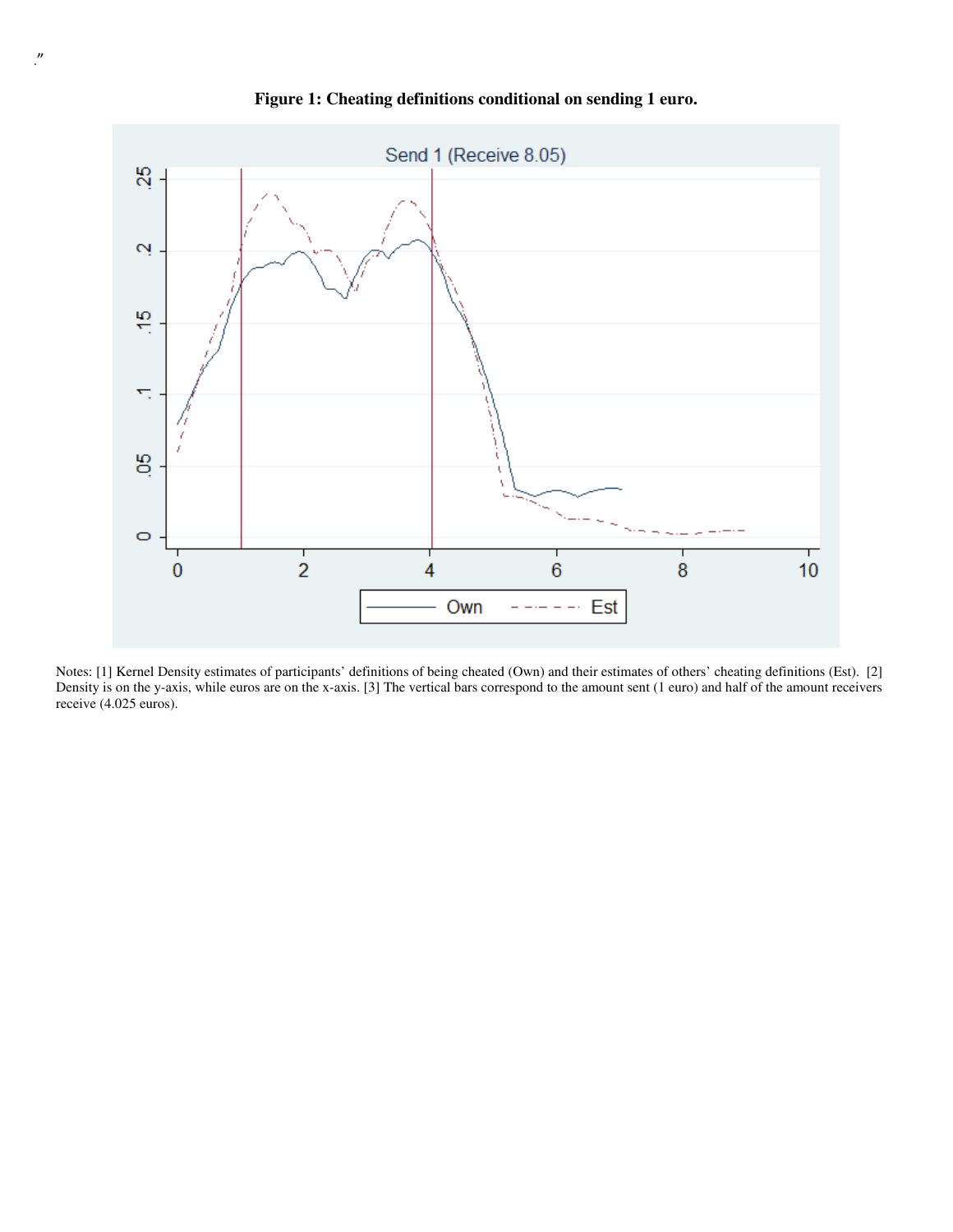

**Figure 1: Cheating definitions conditional on sending 1 euro.** 

Notes: [1] Kernel Density estimates of participants' definitions of being cheated (Own) and their estimates of others' cheating definitions (Est). [2] Density is on the y-axis, while euros are on the x-axis. [3] The vertical bars correspond to the amount sent (1 euro) and half of the amount receivers receive (4.025 euros).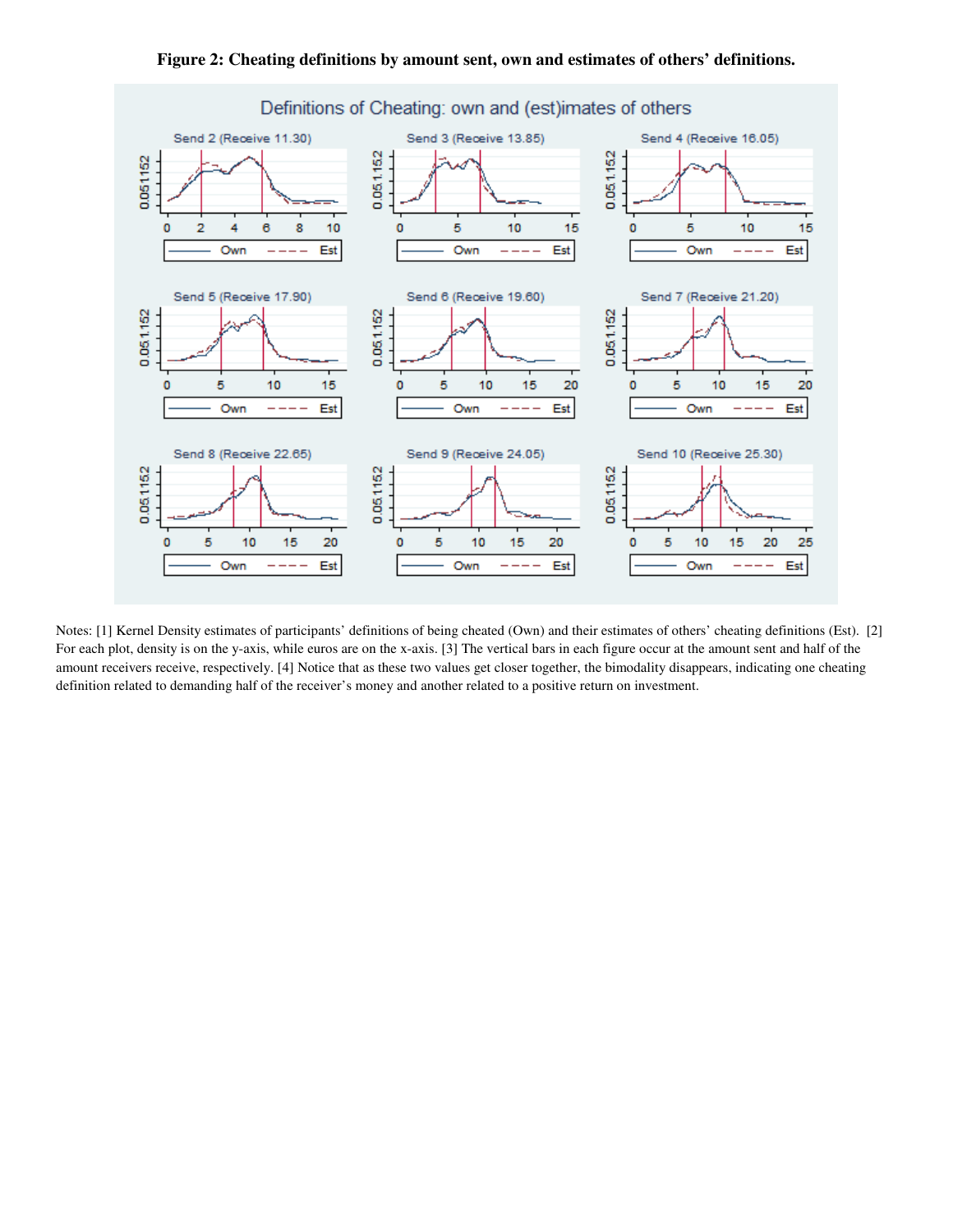

**Figure 2: Cheating definitions by amount sent, own and estimates of others' definitions.** 

Notes: [1] Kernel Density estimates of participants' definitions of being cheated (Own) and their estimates of others' cheating definitions (Est). [2] For each plot, density is on the y-axis, while euros are on the x-axis. [3] The vertical bars in each figure occur at the amount sent and half of the amount receivers receive, respectively. [4] Notice that as these two values get closer together, the bimodality disappears, indicating one cheating definition related to demanding half of the receiver's money and another related to a positive return on investment.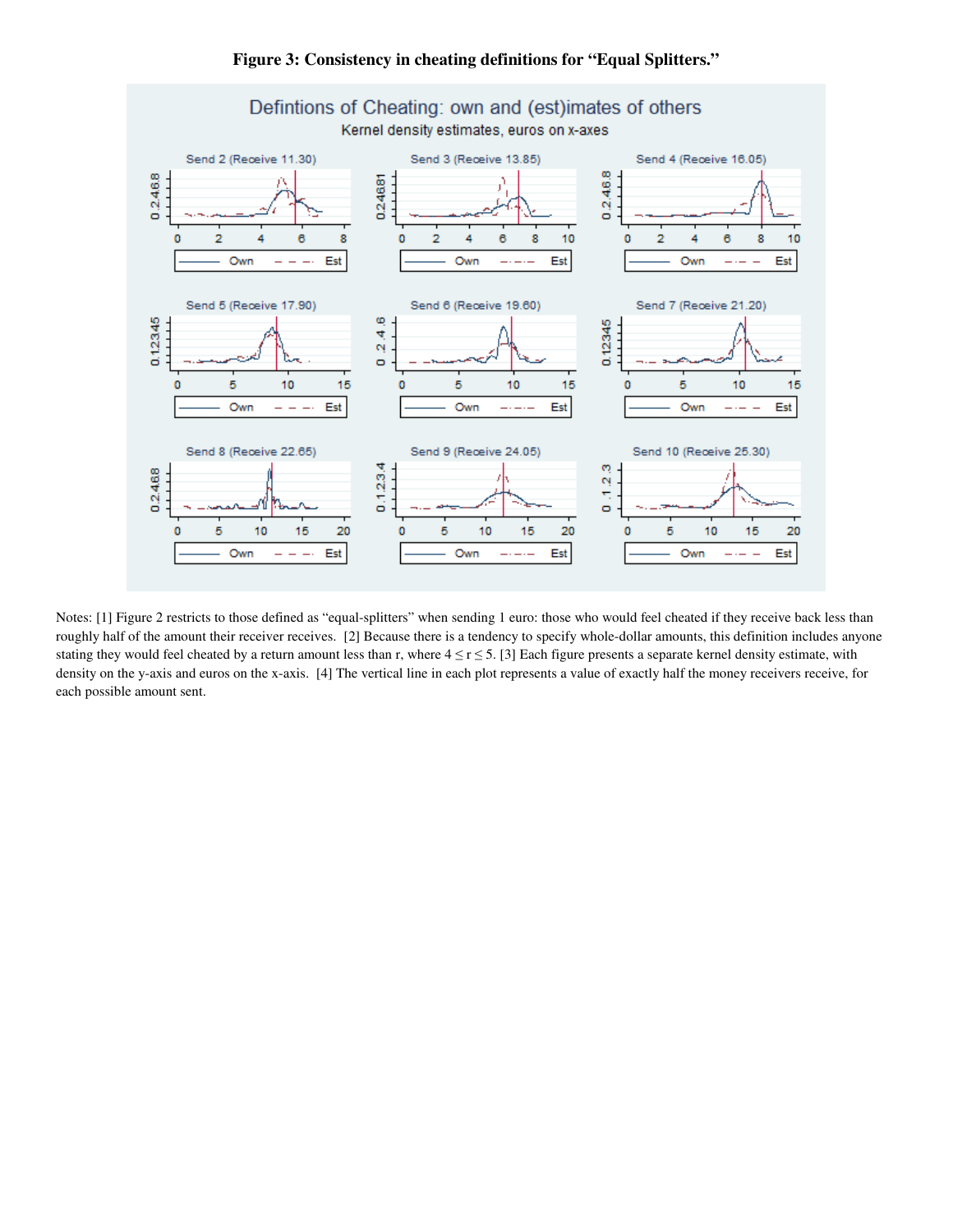

**Figure 3: Consistency in cheating definitions for "Equal Splitters."** 

Notes: [1] Figure 2 restricts to those defined as "equal-splitters" when sending 1 euro: those who would feel cheated if they receive back less than roughly half of the amount their receiver receives. [2] Because there is a tendency to specify whole-dollar amounts, this definition includes anyone stating they would feel cheated by a return amount less than r, where  $4 \le r \le 5$ . [3] Each figure presents a separate kernel density estimate, with density on the y-axis and euros on the x-axis. [4] The vertical line in each plot represents a value of exactly half the money receivers receive, for each possible amount sent.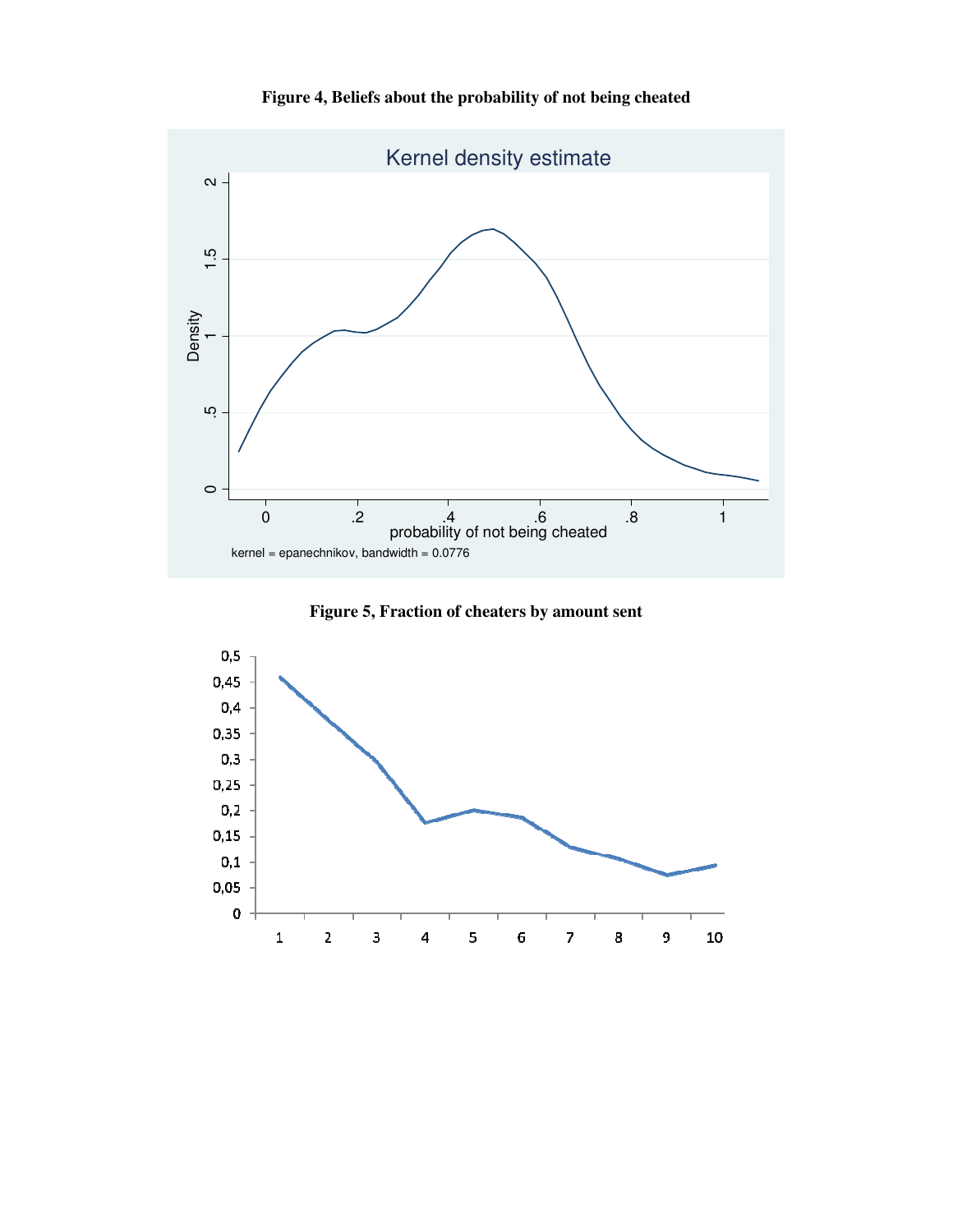



**Figure 5, Fraction of cheaters by amount sent** 

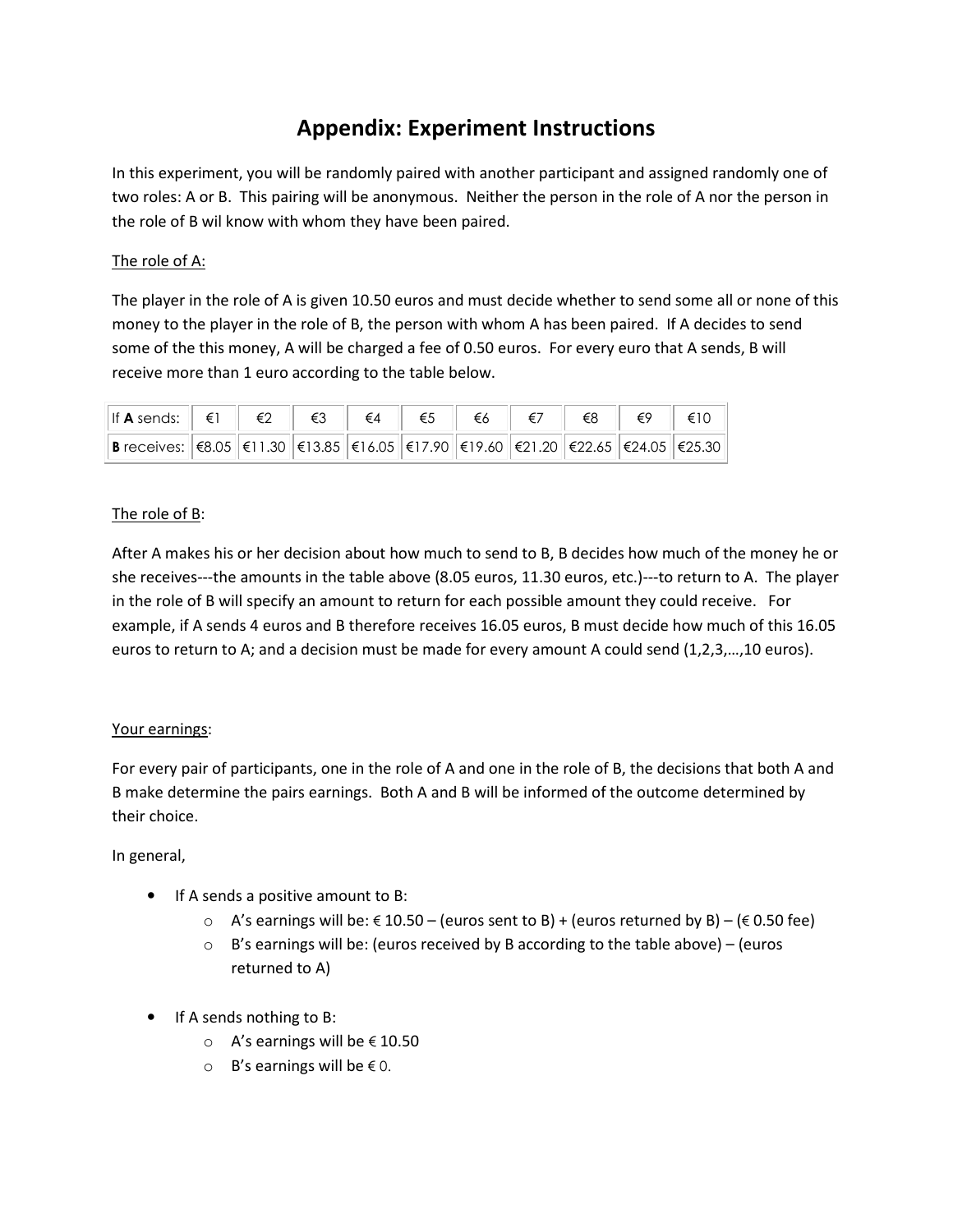## **Appendix: Experiment Instructions**

In this experiment, you will be randomly paired with another participant and assigned randomly one of two roles: A or B. This pairing will be anonymous. Neither the person in the role of A nor the person in the role of B wil know with whom they have been paired.

### The role of A:

The player in the role of A is given 10.50 euros and must decide whether to send some all or none of this money to the player in the role of B, the person with whom A has been paired. If A decides to send some of the this money, A will be charged a fee of 0.50 euros. For every euro that A sends, B will receive more than 1 euro according to the table below.

| $\left \text{If } A \text{ sends:} \left\  \begin{array}{c c} \in \mathbb{N} \\ \in \mathbb{N} \end{array} \right\  \in \mathbb{Z} \right  \quad \in \mathbb{S}$ $\left\  \begin{array}{c c} \in \mathbb{K} \\ \in \mathbb{S} \end{array} \right\  \in \mathbb{S}$ $\left\  \begin{array}{c c} \in \mathbb{N} \\ \in \mathbb{N} \end{array} \right\  \in \mathbb{S}$ $\left\  \begin{array}{c c} \in \mathbb{S} \\ \in \mathbb{N} \end{array} \right\  \in \math$ |  |  |  |  |  |
|-------------------------------------------------------------------------------------------------------------------------------------------------------------------------------------------------------------------------------------------------------------------------------------------------------------------------------------------------------------------------------------------------------------------------------------------------------------------|--|--|--|--|--|
| <b>B</b> receives: $\left  \in 8.05 \right $ €11.30 €13.85 €16.05 €17.90 €19.60 €21.20 €22.65 €24.05 €25.30                                                                                                                                                                                                                                                                                                                                                       |  |  |  |  |  |

### The role of B:

After A makes his or her decision about how much to send to B, B decides how much of the money he or she receives---the amounts in the table above (8.05 euros, 11.30 euros, etc.)---to return to A. The player in the role of B will specify an amount to return for each possible amount they could receive. For example, if A sends 4 euros and B therefore receives 16.05 euros, B must decide how much of this 16.05 euros to return to A; and a decision must be made for every amount A could send (1,2,3,…,10 euros).

### Your earnings:

For every pair of participants, one in the role of A and one in the role of B, the decisions that both A and B make determine the pairs earnings. Both A and B will be informed of the outcome determined by their choice.

### In general,

- If A sends a positive amount to B:
	- $\circ$  A's earnings will be: € 10.50 (euros sent to B) + (euros returned by B) (€ 0.50 fee)
	- $\circ$  B's earnings will be: (euros received by B according to the table above) (euros returned to A)
- If A sends nothing to B:
	- o A's earnings will be € 10.50
	- o B's earnings will be € 0.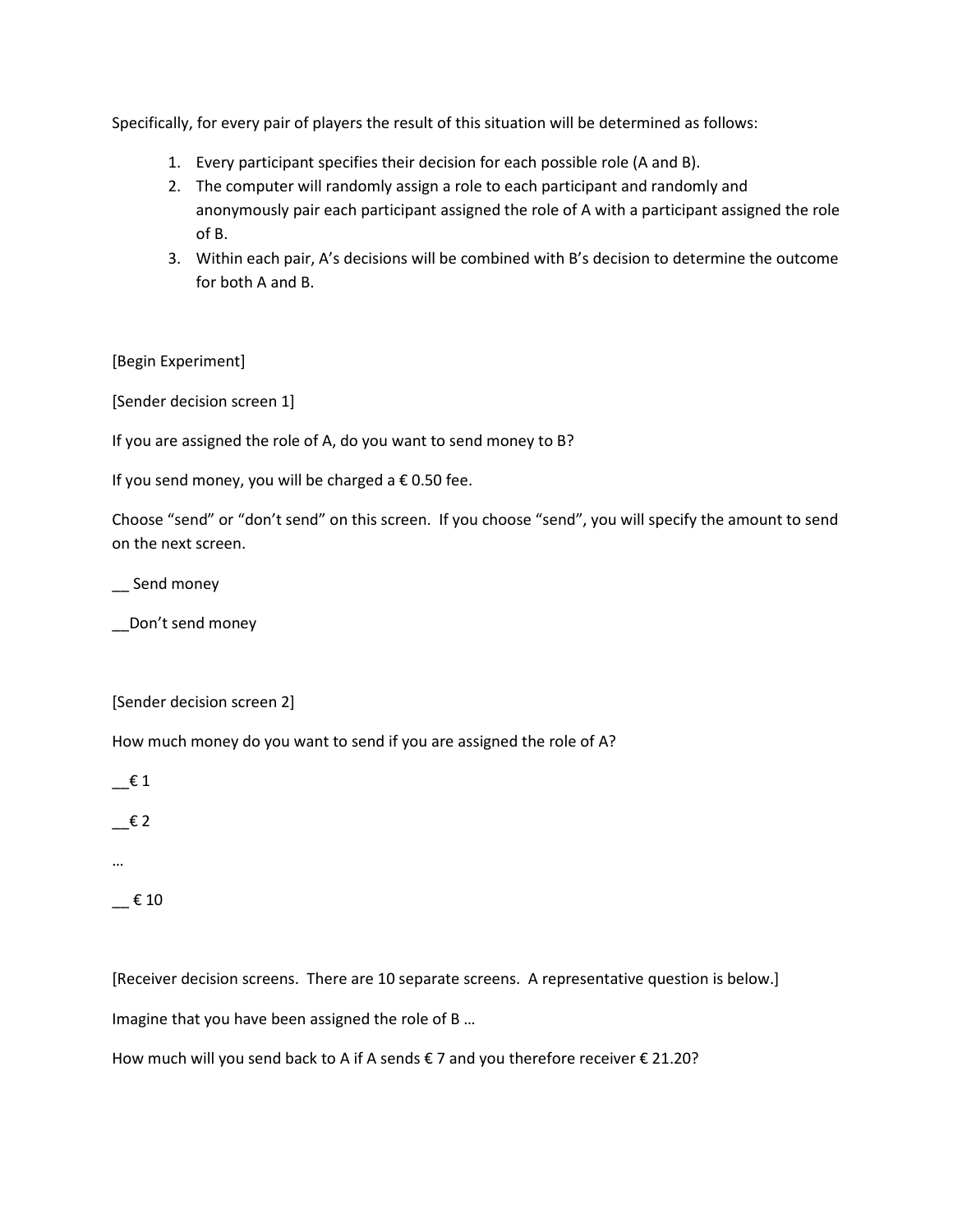Specifically, for every pair of players the result of this situation will be determined as follows:

- 1. Every participant specifies their decision for each possible role (A and B).
- 2. The computer will randomly assign a role to each participant and randomly and anonymously pair each participant assigned the role of A with a participant assigned the role of B.
- 3. Within each pair, A's decisions will be combined with B's decision to determine the outcome for both A and B.

[Begin Experiment]

[Sender decision screen 1]

If you are assigned the role of A, do you want to send money to B?

If you send money, you will be charged a  $\epsilon$  0.50 fee.

Choose "send" or "don't send" on this screen. If you choose "send", you will specify the amount to send on the next screen.

\_\_ Send money

\_\_Don't send money

[Sender decision screen 2]

How much money do you want to send if you are assigned the role of A?

 $\epsilon$  1

 $\epsilon$  2

…

 $\_$  € 10

[Receiver decision screens. There are 10 separate screens. A representative question is below.] Imagine that you have been assigned the role of B …

How much will you send back to A if A sends  $\epsilon$  7 and you therefore receiver  $\epsilon$  21.20?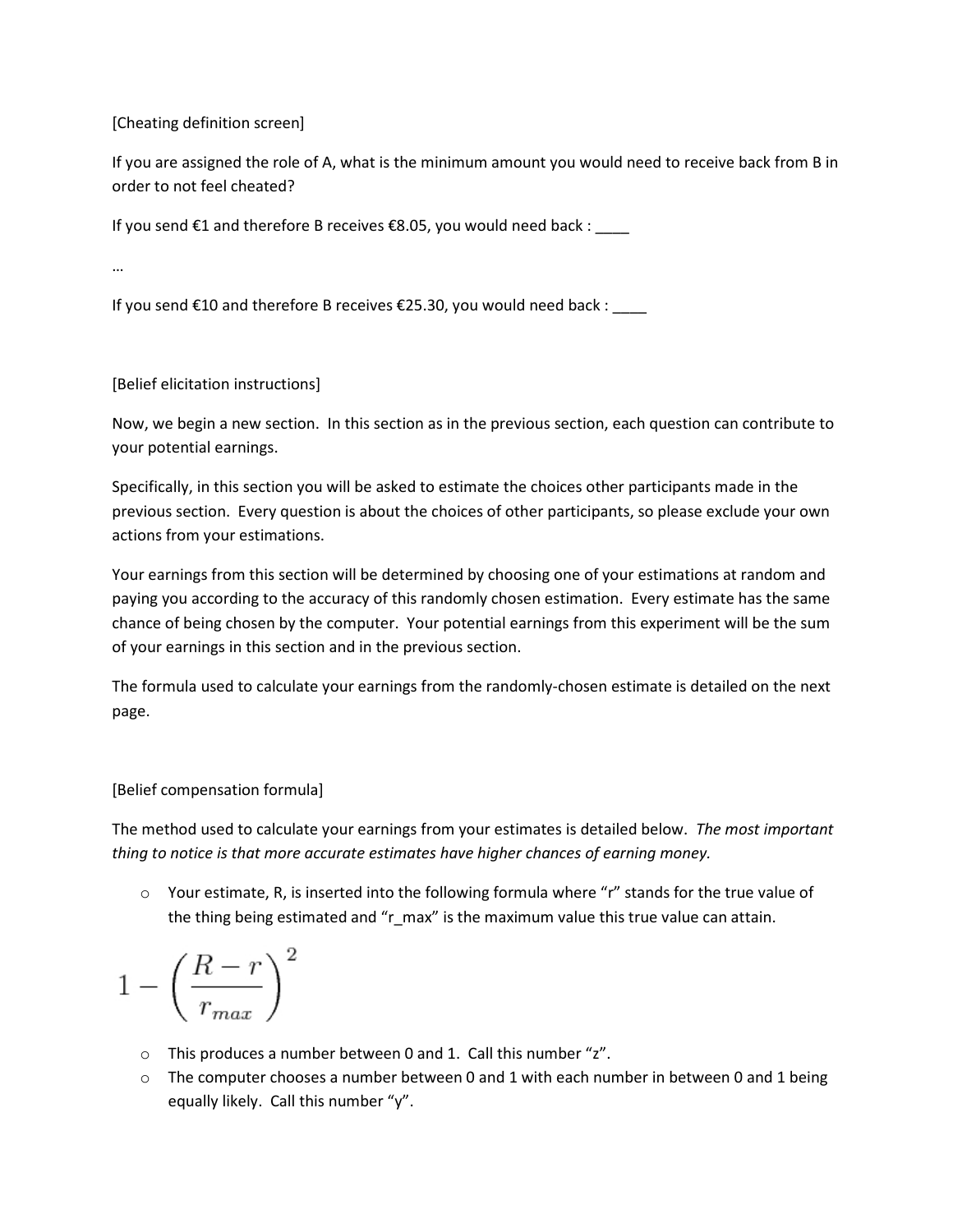[Cheating definition screen]

If you are assigned the role of A, what is the minimum amount you would need to receive back from B in order to not feel cheated?

If you send €1 and therefore B receives €8.05, you would need back :

…

If you send  $E10$  and therefore B receives  $E25.30$ , you would need back : \_\_\_\_

[Belief elicitation instructions]

Now, we begin a new section. In this section as in the previous section, each question can contribute to your potential earnings.

Specifically, in this section you will be asked to estimate the choices other participants made in the previous section. Every question is about the choices of other participants, so please exclude your own actions from your estimations.

Your earnings from this section will be determined by choosing one of your estimations at random and paying you according to the accuracy of this randomly chosen estimation. Every estimate has the same chance of being chosen by the computer. Your potential earnings from this experiment will be the sum of your earnings in this section and in the previous section.

The formula used to calculate your earnings from the randomly-chosen estimate is detailed on the next page.

[Belief compensation formula]

The method used to calculate your earnings from your estimates is detailed below. *The most important thing to notice is that more accurate estimates have higher chances of earning money.*

 $\circ$  Your estimate, R, is inserted into the following formula where "r" stands for the true value of the thing being estimated and "r\_max" is the maximum value this true value can attain.

$$
1-\left(\frac{R-r}{r_{max}}\right)^2
$$

- $\circ$  This produces a number between 0 and 1. Call this number "z".
- $\circ$  The computer chooses a number between 0 and 1 with each number in between 0 and 1 being equally likely. Call this number "y".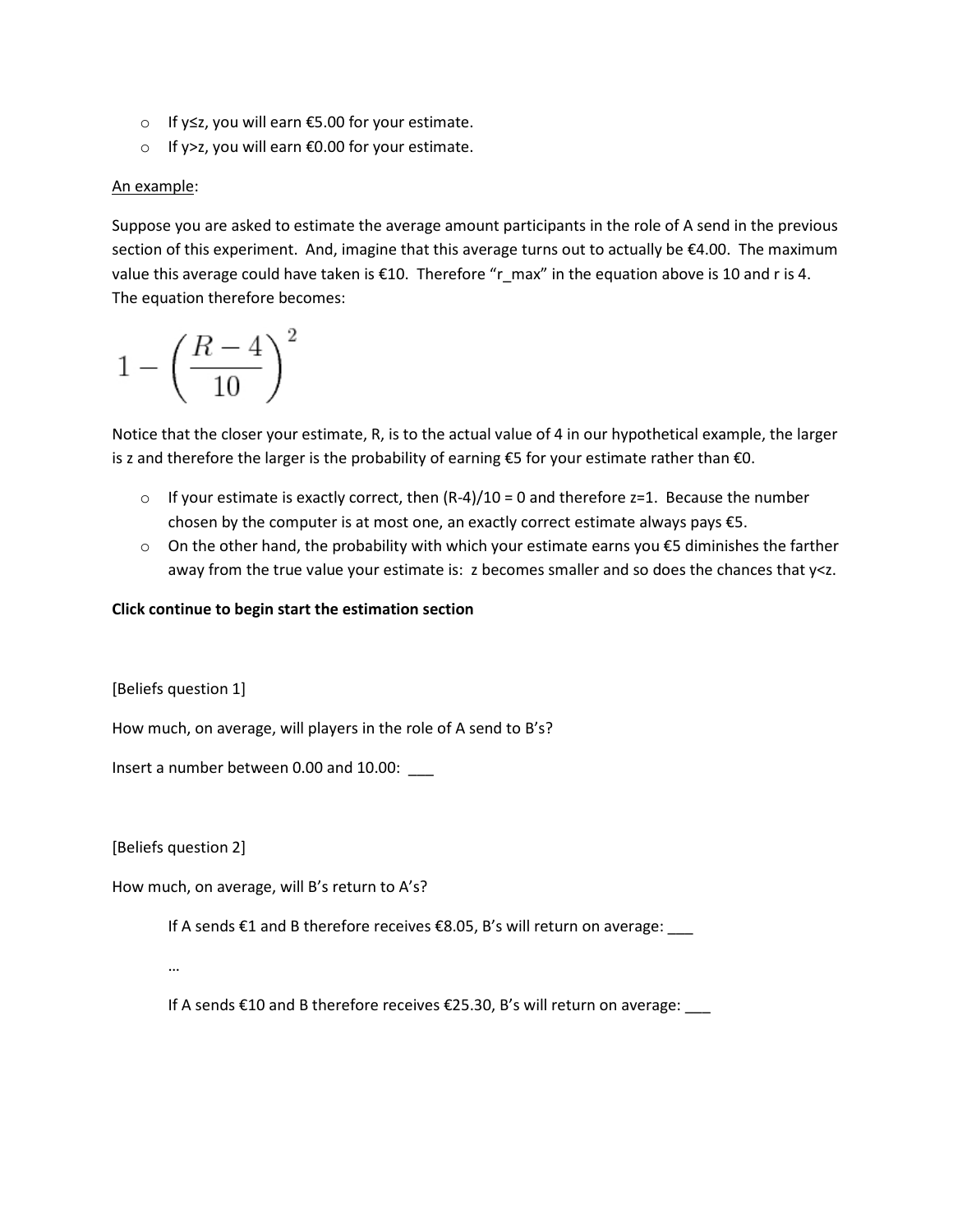- o If y≤z, you will earn €5.00 for your estimate.
- o If y>z, you will earn €0.00 for your estimate.

#### An example:

Suppose you are asked to estimate the average amount participants in the role of A send in the previous section of this experiment. And, imagine that this average turns out to actually be €4.00. The maximum value this average could have taken is €10. Therefore "r\_max" in the equation above is 10 and r is 4. The equation therefore becomes:

$$
1-\left(\frac{R-4}{10}\right)^2
$$

Notice that the closer your estimate, R, is to the actual value of 4 in our hypothetical example, the larger is z and therefore the larger is the probability of earning  $\epsilon$ 5 for your estimate rather than  $\epsilon$ 0.

- $\circ$  If your estimate is exactly correct, then  $(R-4)/10 = 0$  and therefore z=1. Because the number chosen by the computer is at most one, an exactly correct estimate always pays €5.
- o On the other hand, the probability with which your estimate earns you €5 diminishes the farther away from the true value your estimate is: z becomes smaller and so does the chances that y<z.

#### **Click continue to begin start the estimation section**

[Beliefs question 1]

How much, on average, will players in the role of A send to B's?

Insert a number between 0.00 and 10.00: \_\_\_

[Beliefs question 2]

How much, on average, will B's return to A's?

If A sends €1 and B therefore receives €8.05, B's will return on average: \_\_\_

…

If A sends €10 and B therefore receives €25.30, B's will return on average: \_\_\_